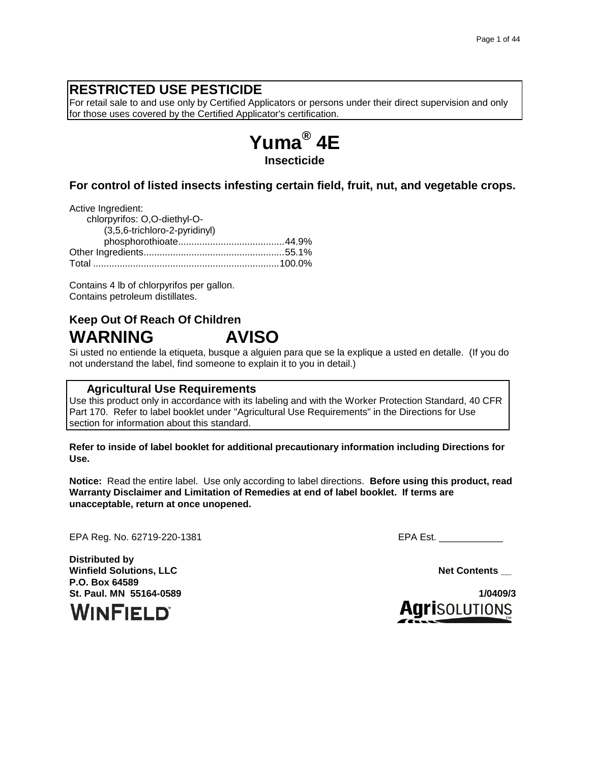# **RESTRICTED USE PESTICIDE**

For retail sale to and use only by Certified Applicators or persons under their direct supervision and only for those uses covered by the Certified Applicator's certification.



### **For control of listed insects infesting certain field, fruit, nut, and vegetable crops.**

Active Ingredient: chlorpyrifos: O,O-diethyl-O- (3,5,6-trichloro-2-pyridinyl) phosphorothioate........................................44.9% Other Ingredients.....................................................55.1% Total ......................................................................100.0%

Contains 4 lb of chlorpyrifos per gallon. Contains petroleum distillates.

# **Keep Out Of Reach Of Children WARNING AVISO**

Si usted no entiende la etiqueta, busque a alguien para que se la explique a usted en detalle. (If you do not understand the label, find someone to explain it to you in detail.)

### **Agricultural Use Requirements**

Use this product only in accordance with its labeling and with the Worker Protection Standard, 40 CFR Part 170. Refer to label booklet under "Agricultural Use Requirements" in the Directions for Use section for information about this standard.

**Refer to inside of label booklet for additional precautionary information including Directions for Use.**

**Notice:** Read the entire label. Use only according to label directions. **Before using this product, read Warranty Disclaimer and Limitation of Remedies at end of label booklet. If terms are unacceptable, return at once unopened.**

EPA Reg. No. 62719-220-1381 EPA Est.

**Distributed by Winfield Solutions, LLC Net Contents and Solutions, LLC P.O. Box 64589 St. Paul. MN 55164-0589 1/0409/3**



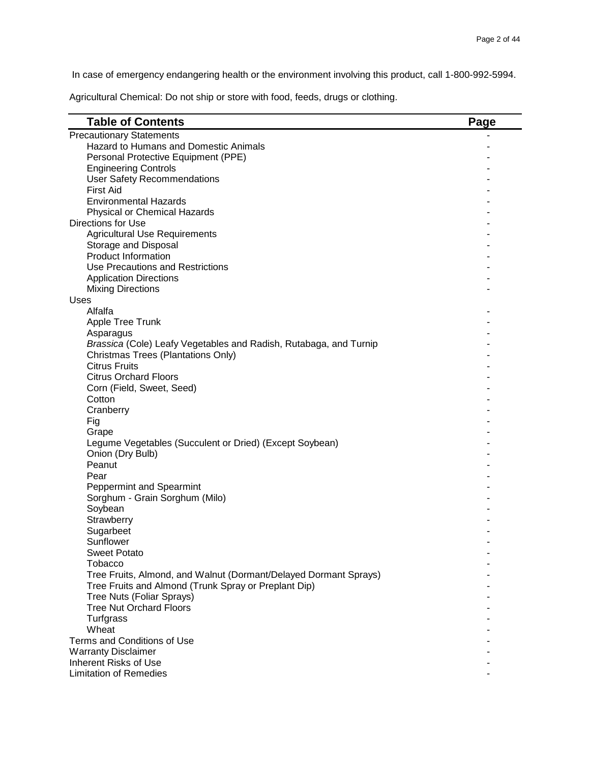In case of emergency endangering health or the environment involving this product, call 1-800-992-5994.

Agricultural Chemical: Do not ship or store with food, feeds, drugs or clothing.

| <b>Table of Contents</b>                                          | Page |
|-------------------------------------------------------------------|------|
| <b>Precautionary Statements</b>                                   |      |
| Hazard to Humans and Domestic Animals                             |      |
| Personal Protective Equipment (PPE)                               |      |
| <b>Engineering Controls</b>                                       |      |
| <b>User Safety Recommendations</b>                                |      |
| <b>First Aid</b>                                                  |      |
| <b>Environmental Hazards</b>                                      |      |
| Physical or Chemical Hazards                                      |      |
| Directions for Use                                                |      |
| <b>Agricultural Use Requirements</b>                              |      |
| Storage and Disposal                                              |      |
| <b>Product Information</b>                                        |      |
| Use Precautions and Restrictions                                  |      |
| <b>Application Directions</b>                                     |      |
| <b>Mixing Directions</b>                                          |      |
| Uses                                                              |      |
| Alfalfa                                                           |      |
| Apple Tree Trunk                                                  |      |
| Asparagus                                                         |      |
| Brassica (Cole) Leafy Vegetables and Radish, Rutabaga, and Turnip |      |
| Christmas Trees (Plantations Only)<br><b>Citrus Fruits</b>        |      |
| <b>Citrus Orchard Floors</b>                                      |      |
| Corn (Field, Sweet, Seed)                                         |      |
| Cotton                                                            |      |
| Cranberry                                                         |      |
| Fig                                                               |      |
| Grape                                                             |      |
| Legume Vegetables (Succulent or Dried) (Except Soybean)           |      |
| Onion (Dry Bulb)                                                  |      |
| Peanut                                                            |      |
| Pear                                                              |      |
| <b>Peppermint and Spearmint</b>                                   |      |
| Sorghum - Grain Sorghum (Milo)                                    |      |
| Soybean                                                           |      |
| Strawberry                                                        |      |
| Sugarbeet                                                         |      |
| Sunflower                                                         |      |
| <b>Sweet Potato</b>                                               |      |
| <b>Tobacco</b>                                                    |      |
| Tree Fruits, Almond, and Walnut (Dormant/Delayed Dormant Sprays)  |      |
| Tree Fruits and Almond (Trunk Spray or Preplant Dip)              |      |
| Tree Nuts (Foliar Sprays)                                         |      |
| <b>Tree Nut Orchard Floors</b>                                    |      |
| Turfgrass                                                         |      |
| Wheat                                                             |      |
| Terms and Conditions of Use                                       |      |
| <b>Warranty Disclaimer</b>                                        |      |
| Inherent Risks of Use                                             |      |
| <b>Limitation of Remedies</b>                                     |      |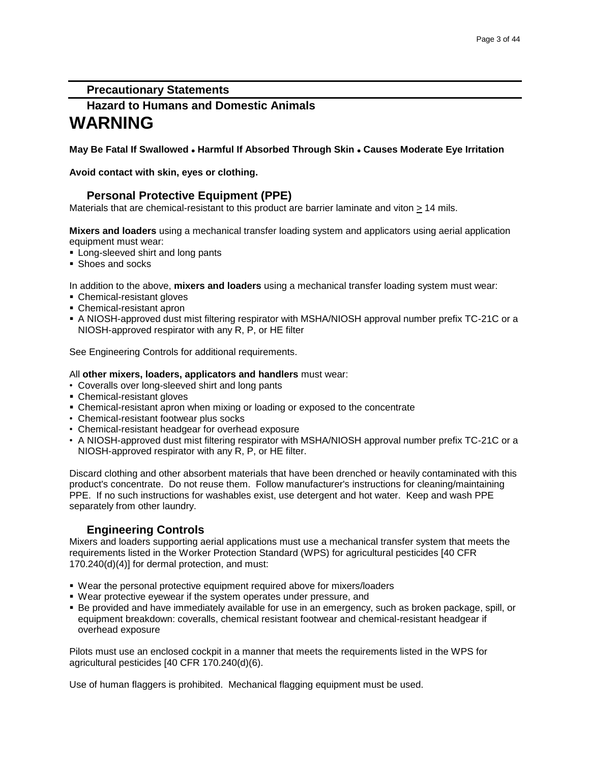### **Precautionary Statements**

# **Hazard to Humans and Domestic Animals WARNING**

**May Be Fatal If Swallowed Harmful If Absorbed Through Skin Causes Moderate Eye Irritation** 

**Avoid contact with skin, eyes or clothing.**

### **Personal Protective Equipment (PPE)**

Materials that are chemical-resistant to this product are barrier laminate and viton > 14 mils.

**Mixers and loaders** using a mechanical transfer loading system and applicators using aerial application equipment must wear:

- **Long-sleeved shirt and long pants**
- **Shoes and socks**

In addition to the above, **mixers and loaders** using a mechanical transfer loading system must wear:

- Chemical-resistant gloves
- Chemical-resistant apron
- A NIOSH-approved dust mist filtering respirator with MSHA/NIOSH approval number prefix TC-21C or a NIOSH-approved respirator with any R, P, or HE filter

See Engineering Controls for additional requirements.

### All **other mixers, loaders, applicators and handlers** must wear:

- Coveralls over long-sleeved shirt and long pants
- Chemical-resistant gloves
- Chemical-resistant apron when mixing or loading or exposed to the concentrate
- Chemical-resistant footwear plus socks
- Chemical-resistant headgear for overhead exposure
- A NIOSH-approved dust mist filtering respirator with MSHA/NIOSH approval number prefix TC-21C or a NIOSH-approved respirator with any R, P, or HE filter.

Discard clothing and other absorbent materials that have been drenched or heavily contaminated with this product's concentrate. Do not reuse them. Follow manufacturer's instructions for cleaning/maintaining PPE. If no such instructions for washables exist, use detergent and hot water. Keep and wash PPE separately from other laundry.

# **Engineering Controls**

Mixers and loaders supporting aerial applications must use a mechanical transfer system that meets the requirements listed in the Worker Protection Standard (WPS) for agricultural pesticides [40 CFR 170.240(d)(4)] for dermal protection, and must:

- Wear the personal protective equipment required above for mixers/loaders
- Wear protective eyewear if the system operates under pressure, and
- Be provided and have immediately available for use in an emergency, such as broken package, spill, or equipment breakdown: coveralls, chemical resistant footwear and chemical-resistant headgear if overhead exposure

Pilots must use an enclosed cockpit in a manner that meets the requirements listed in the WPS for agricultural pesticides [40 CFR 170.240(d)(6).

Use of human flaggers is prohibited. Mechanical flagging equipment must be used.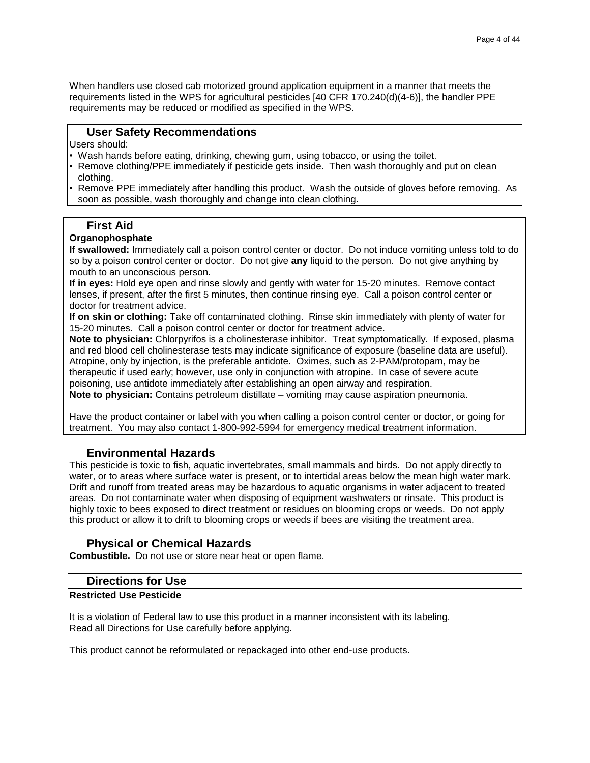When handlers use closed cab motorized ground application equipment in a manner that meets the requirements listed in the WPS for agricultural pesticides [40 CFR 170.240(d)(4-6)], the handler PPE requirements may be reduced or modified as specified in the WPS.

### **User Safety Recommendations**

Users should:

- Wash hands before eating, drinking, chewing gum, using tobacco, or using the toilet.
- Remove clothing/PPE immediately if pesticide gets inside. Then wash thoroughly and put on clean clothing.
- Remove PPE immediately after handling this product. Wash the outside of gloves before removing. As soon as possible, wash thoroughly and change into clean clothing.

### **First Aid**

### **Organophosphate**

**If swallowed:** Immediately call a poison control center or doctor. Do not induce vomiting unless told to do so by a poison control center or doctor. Do not give **any** liquid to the person. Do not give anything by mouth to an unconscious person.

**If in eyes:** Hold eye open and rinse slowly and gently with water for 15-20 minutes. Remove contact lenses, if present, after the first 5 minutes, then continue rinsing eye. Call a poison control center or doctor for treatment advice.

**If on skin or clothing:** Take off contaminated clothing. Rinse skin immediately with plenty of water for 15-20 minutes. Call a poison control center or doctor for treatment advice.

**Note to physician:** Chlorpyrifos is a cholinesterase inhibitor. Treat symptomatically. If exposed, plasma and red blood cell cholinesterase tests may indicate significance of exposure (baseline data are useful). Atropine, only by injection, is the preferable antidote. Oximes, such as 2-PAM/protopam, may be therapeutic if used early; however, use only in conjunction with atropine. In case of severe acute poisoning, use antidote immediately after establishing an open airway and respiration.

**Note to physician:** Contains petroleum distillate – vomiting may cause aspiration pneumonia.

Have the product container or label with you when calling a poison control center or doctor, or going for treatment. You may also contact 1-800-992-5994 for emergency medical treatment information.

### **Environmental Hazards**

This pesticide is toxic to fish, aquatic invertebrates, small mammals and birds. Do not apply directly to water, or to areas where surface water is present, or to intertidal areas below the mean high water mark. Drift and runoff from treated areas may be hazardous to aquatic organisms in water adjacent to treated areas. Do not contaminate water when disposing of equipment washwaters or rinsate. This product is highly toxic to bees exposed to direct treatment or residues on blooming crops or weeds. Do not apply this product or allow it to drift to blooming crops or weeds if bees are visiting the treatment area.

### **Physical or Chemical Hazards**

**Combustible.** Do not use or store near heat or open flame.

### **Directions for Use**

### **Restricted Use Pesticide**

It is a violation of Federal law to use this product in a manner inconsistent with its labeling. Read all Directions for Use carefully before applying.

This product cannot be reformulated or repackaged into other end-use products.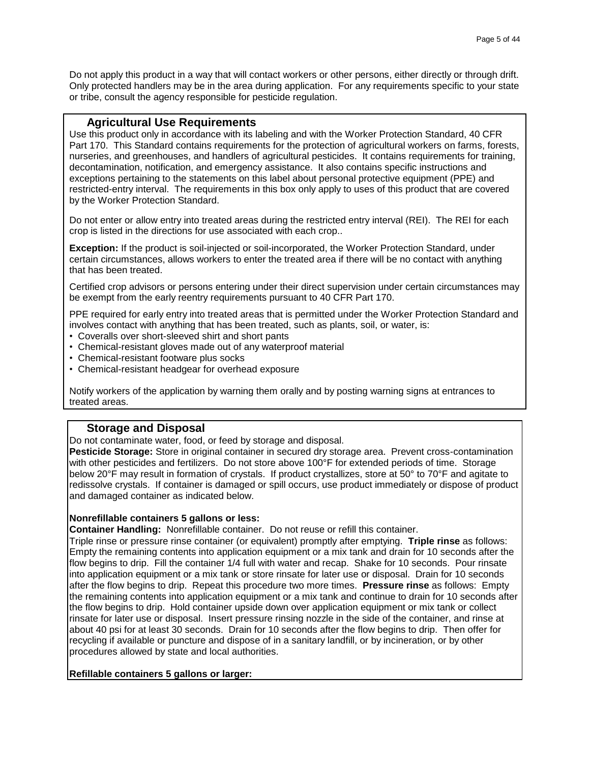Do not apply this product in a way that will contact workers or other persons, either directly or through drift. Only protected handlers may be in the area during application. For any requirements specific to your state or tribe, consult the agency responsible for pesticide regulation.

### **Agricultural Use Requirements**

Use this product only in accordance with its labeling and with the Worker Protection Standard, 40 CFR Part 170. This Standard contains requirements for the protection of agricultural workers on farms, forests, nurseries, and greenhouses, and handlers of agricultural pesticides. It contains requirements for training, decontamination, notification, and emergency assistance. It also contains specific instructions and exceptions pertaining to the statements on this label about personal protective equipment (PPE) and restricted-entry interval. The requirements in this box only apply to uses of this product that are covered by the Worker Protection Standard.

Do not enter or allow entry into treated areas during the restricted entry interval (REI). The REI for each crop is listed in the directions for use associated with each crop..

**Exception:** If the product is soil-injected or soil-incorporated, the Worker Protection Standard, under certain circumstances, allows workers to enter the treated area if there will be no contact with anything that has been treated.

Certified crop advisors or persons entering under their direct supervision under certain circumstances may be exempt from the early reentry requirements pursuant to 40 CFR Part 170.

PPE required for early entry into treated areas that is permitted under the Worker Protection Standard and involves contact with anything that has been treated, such as plants, soil, or water, is:

- Coveralls over short-sleeved shirt and short pants
- Chemical-resistant gloves made out of any waterproof material
- Chemical-resistant footware plus socks
- Chemical-resistant headgear for overhead exposure

Notify workers of the application by warning them orally and by posting warning signs at entrances to treated areas.

### **Storage and Disposal**

Do not contaminate water, food, or feed by storage and disposal.

**Pesticide Storage:** Store in original container in secured dry storage area. Prevent cross-contamination with other pesticides and fertilizers. Do not store above 100°F for extended periods of time. Storage below 20°F may result in formation of crystals. If product crystallizes, store at 50° to 70°F and agitate to redissolve crystals. If container is damaged or spill occurs, use product immediately or dispose of product and damaged container as indicated below.

### **Nonrefillable containers 5 gallons or less:**

**Container Handling:** Nonrefillable container. Do not reuse or refill this container.

Triple rinse or pressure rinse container (or equivalent) promptly after emptying. **Triple rinse** as follows: Empty the remaining contents into application equipment or a mix tank and drain for 10 seconds after the flow begins to drip. Fill the container 1/4 full with water and recap. Shake for 10 seconds. Pour rinsate into application equipment or a mix tank or store rinsate for later use or disposal. Drain for 10 seconds after the flow begins to drip. Repeat this procedure two more times. **Pressure rinse** as follows: Empty the remaining contents into application equipment or a mix tank and continue to drain for 10 seconds after the flow begins to drip. Hold container upside down over application equipment or mix tank or collect rinsate for later use or disposal. Insert pressure rinsing nozzle in the side of the container, and rinse at about 40 psi for at least 30 seconds. Drain for 10 seconds after the flow begins to drip. Then offer for recycling if available or puncture and dispose of in a sanitary landfill, or by incineration, or by other procedures allowed by state and local authorities.

### **Refillable containers 5 gallons or larger:**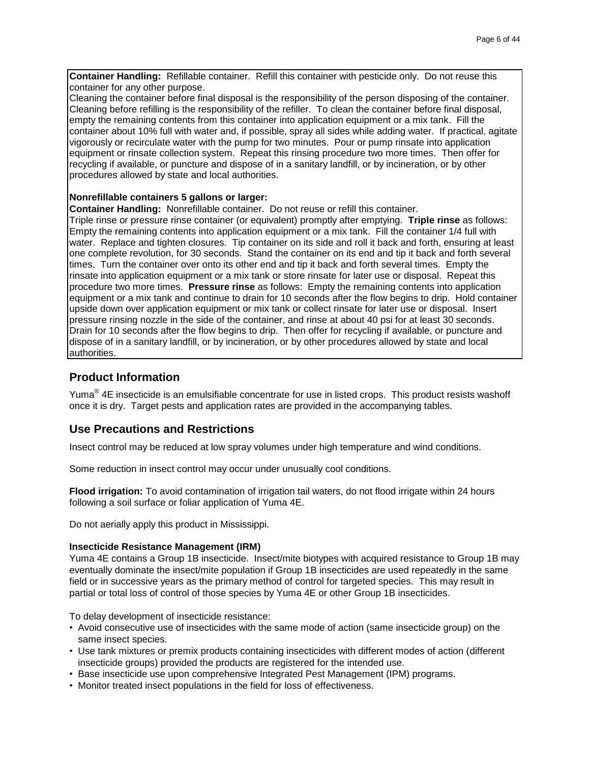**Container Handling:** Refillable container. Refill this container with pesticide only. Do not reuse this container for any other purpose.

Cleaning the container before final disposal is the responsibility of the person disposing of the container. Cleaning before refilling is the responsibility of the refiller. To clean the container before final disposal, empty the remaining contents from this container into application equipment or a mix tank. Fill the container about 10% full with water and, if possible, spray all sides while adding water. If practical, agitate vigorously or recirculate water with the pump for two minutes. Pour or pump rinsate into application equipment or rinsate collection system. Repeat this rinsing procedure two more times. Then offer for recycling if available, or puncture and dispose of in a sanitary landfill, or by incineration, or by other procedures allowed by state and local authorities.

### **Nonrefillable containers 5 gallons or larger:**

**Container Handling:** Nonrefillable container. Do not reuse or refill this container.

Triple rinse or pressure rinse container (or equivalent) promptly after emptying. **Triple rinse** as follows: Empty the remaining contents into application equipment or a mix tank. Fill the container 1/4 full with water. Replace and tighten closures. Tip container on its side and roll it back and forth, ensuring at least one complete revolution, for 30 seconds. Stand the container on its end and tip it back and forth several times. Turn the container over onto its other end and tip it back and forth several times. Empty the rinsate into application equipment or a mix tank or store rinsate for later use or disposal. Repeat this procedure two more times. **Pressure rinse** as follows: Empty the remaining contents into application equipment or a mix tank and continue to drain for 10 seconds after the flow begins to drip. Hold container upside down over application equipment or mix tank or collect rinsate for later use or disposal. Insert pressure rinsing nozzle in the side of the container, and rinse at about 40 psi for at least 30 seconds. Drain for 10 seconds after the flow begins to drip. Then offer for recycling if available, or puncture and dispose of in a sanitary landfill, or by incineration, or by other procedures allowed by state and local authorities.

### **Product Information**

Yuma $^{\circledast}$  4E insecticide is an emulsifiable concentrate for use in listed crops. This product resists washoff once it is dry. Target pests and application rates are provided in the accompanying tables.

### **Use Precautions and Restrictions**

Insect control may be reduced at low spray volumes under high temperature and wind conditions.

Some reduction in insect control may occur under unusually cool conditions.

**Flood irrigation:** To avoid contamination of irrigation tail waters, do not flood irrigate within 24 hours following a soil surface or foliar application of Yuma 4E.

Do not aerially apply this product in Mississippi.

#### **Insecticide Resistance Management (IRM)**

Yuma 4E contains a Group 1B insecticide. Insect/mite biotypes with acquired resistance to Group 1B may eventually dominate the insect/mite population if Group 1B insecticides are used repeatedly in the same field or in successive years as the primary method of control for targeted species. This may result in partial or total loss of control of those species by Yuma 4E or other Group 1B insecticides.

To delay development of insecticide resistance:

- Avoid consecutive use of insecticides with the same mode of action (same insecticide group) on the same insect species.
- Use tank mixtures or premix products containing insecticides with different modes of action (different insecticide groups) provided the products are registered for the intended use.
- Base insecticide use upon comprehensive Integrated Pest Management (IPM) programs.
- Monitor treated insect populations in the field for loss of effectiveness.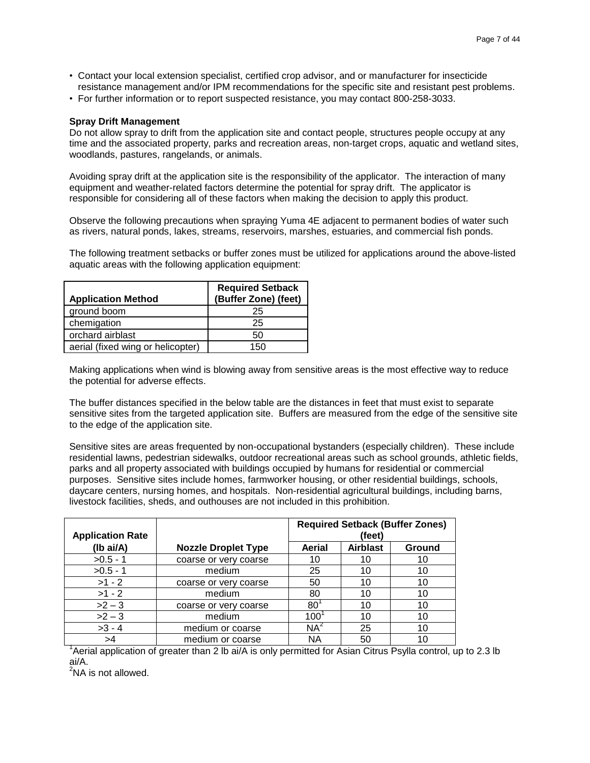- Contact your local extension specialist, certified crop advisor, and or manufacturer for insecticide resistance management and/or IPM recommendations for the specific site and resistant pest problems.
- For further information or to report suspected resistance, you may contact 800-258-3033.

### **Spray Drift Management**

Do not allow spray to drift from the application site and contact people, structures people occupy at any time and the associated property, parks and recreation areas, non-target crops, aquatic and wetland sites, woodlands, pastures, rangelands, or animals.

Avoiding spray drift at the application site is the responsibility of the applicator. The interaction of many equipment and weather-related factors determine the potential for spray drift. The applicator is responsible for considering all of these factors when making the decision to apply this product.

Observe the following precautions when spraying Yuma 4E adjacent to permanent bodies of water such as rivers, natural ponds, lakes, streams, reservoirs, marshes, estuaries, and commercial fish ponds.

The following treatment setbacks or buffer zones must be utilized for applications around the above-listed aquatic areas with the following application equipment:

| <b>Application Method</b>         | <b>Required Setback</b><br>(Buffer Zone) (feet) |
|-----------------------------------|-------------------------------------------------|
| ground boom                       | 25                                              |
| chemigation                       | 25                                              |
| orchard airblast                  | 50                                              |
| aerial (fixed wing or helicopter) | 150                                             |

Making applications when wind is blowing away from sensitive areas is the most effective way to reduce the potential for adverse effects.

The buffer distances specified in the below table are the distances in feet that must exist to separate sensitive sites from the targeted application site. Buffers are measured from the edge of the sensitive site to the edge of the application site.

Sensitive sites are areas frequented by non-occupational bystanders (especially children). These include residential lawns, pedestrian sidewalks, outdoor recreational areas such as school grounds, athletic fields, parks and all property associated with buildings occupied by humans for residential or commercial purposes. Sensitive sites include homes, farmworker housing, or other residential buildings, schools, daycare centers, nursing homes, and hospitals. Non-residential agricultural buildings, including barns, livestock facilities, sheds, and outhouses are not included in this prohibition.

| <b>Application Rate</b> |                            | <b>Required Setback (Buffer Zones)</b><br>(feet) |                 |        |
|-------------------------|----------------------------|--------------------------------------------------|-----------------|--------|
| (Ib ai/A)               | <b>Nozzle Droplet Type</b> | Aerial                                           | <b>Airblast</b> | Ground |
| $>0.5 - 1$              | coarse or very coarse      | 10                                               | 10              | 10     |
| $>0.5 - 1$              | medium                     | 25                                               | 10              | 10     |
| $>1 - 2$                | coarse or very coarse      | 50                                               | 10              | 10     |
| $>1 - 2$                | medium                     | 80                                               | 10              | 10     |
| $>2-3$                  | coarse or very coarse      | 80                                               | 10              | 10     |
| $>2-3$                  | medium                     | 100                                              | 10              | 10     |
| $>3 - 4$                | medium or coarse           | $NA^2$                                           | 25              | 10     |
| >4                      | medium or coarse           | ΝA                                               | 50              | 10     |

<sup>1</sup> Aerial application of greater than 2 lb ai/A is only permitted for Asian Citrus Psylla control, up to 2.3 lb ai/A.

 $2$ NA is not allowed.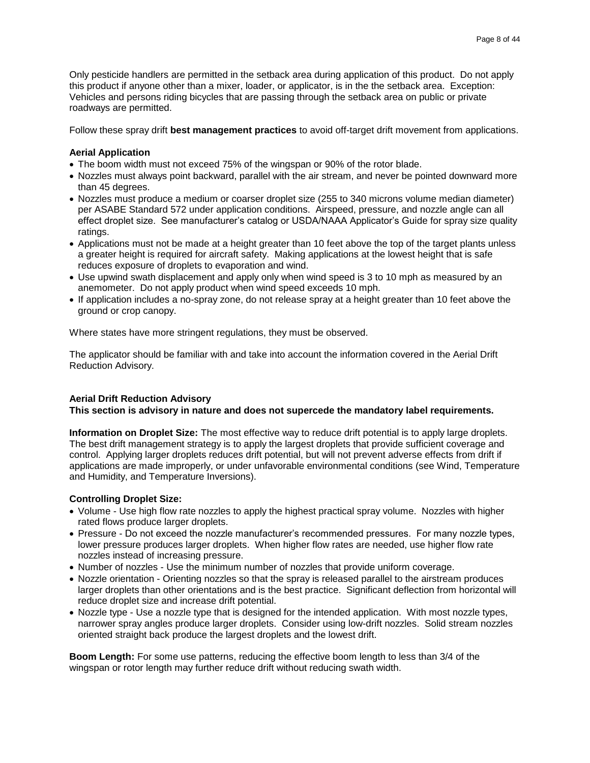Only pesticide handlers are permitted in the setback area during application of this product. Do not apply this product if anyone other than a mixer, loader, or applicator, is in the the setback area. Exception: Vehicles and persons riding bicycles that are passing through the setback area on public or private roadways are permitted.

Follow these spray drift **best management practices** to avoid off-target drift movement from applications.

### **Aerial Application**

- The boom width must not exceed 75% of the wingspan or 90% of the rotor blade.
- Nozzles must always point backward, parallel with the air stream, and never be pointed downward more than 45 degrees.
- Nozzles must produce a medium or coarser droplet size (255 to 340 microns volume median diameter) per ASABE Standard 572 under application conditions. Airspeed, pressure, and nozzle angle can all effect droplet size. See manufacturer's catalog or USDA/NAAA Applicator's Guide for spray size quality ratings.
- Applications must not be made at a height greater than 10 feet above the top of the target plants unless a greater height is required for aircraft safety. Making applications at the lowest height that is safe reduces exposure of droplets to evaporation and wind.
- Use upwind swath displacement and apply only when wind speed is 3 to 10 mph as measured by an anemometer. Do not apply product when wind speed exceeds 10 mph.
- If application includes a no-spray zone, do not release spray at a height greater than 10 feet above the ground or crop canopy.

Where states have more stringent regulations, they must be observed.

The applicator should be familiar with and take into account the information covered in the Aerial Drift Reduction Advisory.

#### **Aerial Drift Reduction Advisory**

### **This section is advisory in nature and does not supercede the mandatory label requirements.**

**Information on Droplet Size:** The most effective way to reduce drift potential is to apply large droplets. The best drift management strategy is to apply the largest droplets that provide sufficient coverage and control. Applying larger droplets reduces drift potential, but will not prevent adverse effects from drift if applications are made improperly, or under unfavorable environmental conditions (see Wind, Temperature and Humidity, and Temperature Inversions).

### **Controlling Droplet Size:**

- Volume Use high flow rate nozzles to apply the highest practical spray volume. Nozzles with higher rated flows produce larger droplets.
- Pressure Do not exceed the nozzle manufacturer's recommended pressures. For many nozzle types, lower pressure produces larger droplets. When higher flow rates are needed, use higher flow rate nozzles instead of increasing pressure.
- Number of nozzles Use the minimum number of nozzles that provide uniform coverage.
- Nozzle orientation Orienting nozzles so that the spray is released parallel to the airstream produces larger droplets than other orientations and is the best practice. Significant deflection from horizontal will reduce droplet size and increase drift potential.
- Nozzle type Use a nozzle type that is designed for the intended application. With most nozzle types, narrower spray angles produce larger droplets. Consider using low-drift nozzles. Solid stream nozzles oriented straight back produce the largest droplets and the lowest drift.

**Boom Length:** For some use patterns, reducing the effective boom length to less than 3/4 of the wingspan or rotor length may further reduce drift without reducing swath width.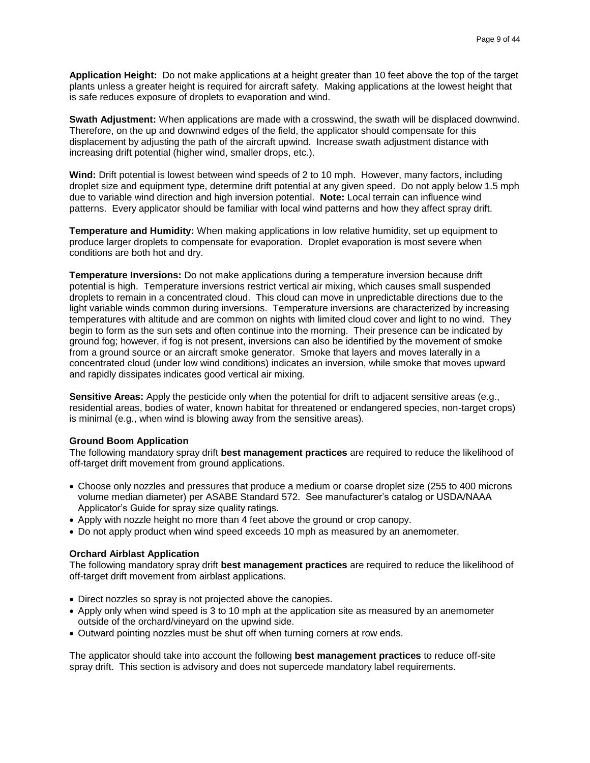**Application Height:** Do not make applications at a height greater than 10 feet above the top of the target plants unless a greater height is required for aircraft safety. Making applications at the lowest height that is safe reduces exposure of droplets to evaporation and wind.

**Swath Adjustment:** When applications are made with a crosswind, the swath will be displaced downwind. Therefore, on the up and downwind edges of the field, the applicator should compensate for this displacement by adjusting the path of the aircraft upwind. Increase swath adjustment distance with increasing drift potential (higher wind, smaller drops, etc.).

**Wind:** Drift potential is lowest between wind speeds of 2 to 10 mph. However, many factors, including droplet size and equipment type, determine drift potential at any given speed. Do not apply below 1.5 mph due to variable wind direction and high inversion potential. **Note:** Local terrain can influence wind patterns. Every applicator should be familiar with local wind patterns and how they affect spray drift.

**Temperature and Humidity:** When making applications in low relative humidity, set up equipment to produce larger droplets to compensate for evaporation. Droplet evaporation is most severe when conditions are both hot and dry.

**Temperature Inversions:** Do not make applications during a temperature inversion because drift potential is high. Temperature inversions restrict vertical air mixing, which causes small suspended droplets to remain in a concentrated cloud. This cloud can move in unpredictable directions due to the light variable winds common during inversions. Temperature inversions are characterized by increasing temperatures with altitude and are common on nights with limited cloud cover and light to no wind. They begin to form as the sun sets and often continue into the morning. Their presence can be indicated by ground fog; however, if fog is not present, inversions can also be identified by the movement of smoke from a ground source or an aircraft smoke generator. Smoke that layers and moves laterally in a concentrated cloud (under low wind conditions) indicates an inversion, while smoke that moves upward and rapidly dissipates indicates good vertical air mixing.

**Sensitive Areas:** Apply the pesticide only when the potential for drift to adjacent sensitive areas (e.g., residential areas, bodies of water, known habitat for threatened or endangered species, non-target crops) is minimal (e.g., when wind is blowing away from the sensitive areas).

#### **Ground Boom Application**

The following mandatory spray drift **best management practices** are required to reduce the likelihood of off-target drift movement from ground applications.

- Choose only nozzles and pressures that produce a medium or coarse droplet size (255 to 400 microns volume median diameter) per ASABE Standard 572. See manufacturer's catalog or USDA/NAAA Applicator's Guide for spray size quality ratings.
- Apply with nozzle height no more than 4 feet above the ground or crop canopy.
- Do not apply product when wind speed exceeds 10 mph as measured by an anemometer.

#### **Orchard Airblast Application**

The following mandatory spray drift **best management practices** are required to reduce the likelihood of off-target drift movement from airblast applications.

- Direct nozzles so spray is not projected above the canopies.
- Apply only when wind speed is 3 to 10 mph at the application site as measured by an anemometer outside of the orchard/vineyard on the upwind side.
- Outward pointing nozzles must be shut off when turning corners at row ends.

The applicator should take into account the following **best management practices** to reduce off-site spray drift. This section is advisory and does not supercede mandatory label requirements.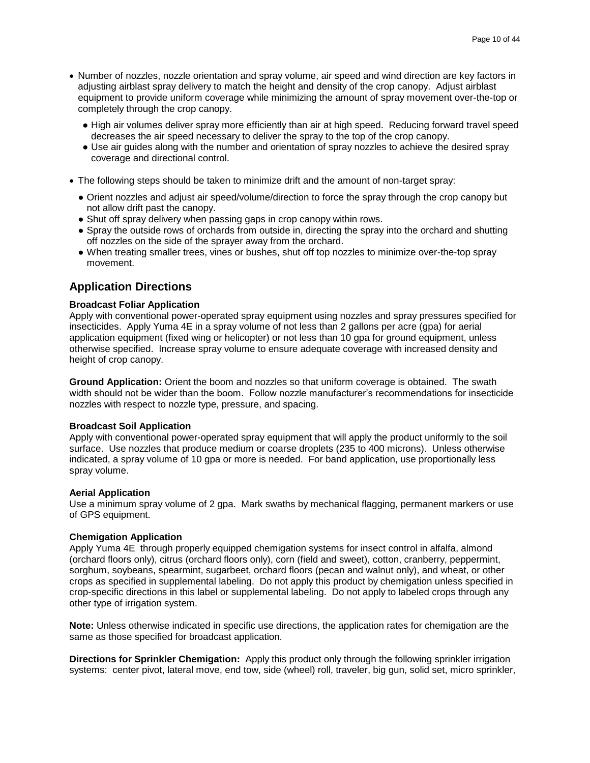- Number of nozzles, nozzle orientation and spray volume, air speed and wind direction are key factors in adjusting airblast spray delivery to match the height and density of the crop canopy. Adjust airblast equipment to provide uniform coverage while minimizing the amount of spray movement over-the-top or completely through the crop canopy.
	- High air volumes deliver spray more efficiently than air at high speed. Reducing forward travel speed decreases the air speed necessary to deliver the spray to the top of the crop canopy.
	- Use air guides along with the number and orientation of spray nozzles to achieve the desired spray coverage and directional control.
- The following steps should be taken to minimize drift and the amount of non-target spray:
	- Orient nozzles and adjust air speed/volume/direction to force the spray through the crop canopy but not allow drift past the canopy.
	- Shut off spray delivery when passing gaps in crop canopy within rows.
	- Spray the outside rows of orchards from outside in, directing the spray into the orchard and shutting off nozzles on the side of the sprayer away from the orchard.
	- When treating smaller trees, vines or bushes, shut off top nozzles to minimize over-the-top spray movement.

### **Application Directions**

### **Broadcast Foliar Application**

Apply with conventional power-operated spray equipment using nozzles and spray pressures specified for insecticides. Apply Yuma 4E in a spray volume of not less than 2 gallons per acre (gpa) for aerial application equipment (fixed wing or helicopter) or not less than 10 gpa for ground equipment, unless otherwise specified. Increase spray volume to ensure adequate coverage with increased density and height of crop canopy.

**Ground Application:** Orient the boom and nozzles so that uniform coverage is obtained. The swath width should not be wider than the boom. Follow nozzle manufacturer's recommendations for insecticide nozzles with respect to nozzle type, pressure, and spacing.

#### **Broadcast Soil Application**

Apply with conventional power-operated spray equipment that will apply the product uniformly to the soil surface. Use nozzles that produce medium or coarse droplets (235 to 400 microns). Unless otherwise indicated, a spray volume of 10 gpa or more is needed. For band application, use proportionally less spray volume.

#### **Aerial Application**

Use a minimum spray volume of 2 gpa. Mark swaths by mechanical flagging, permanent markers or use of GPS equipment.

#### **Chemigation Application**

Apply Yuma 4E through properly equipped chemigation systems for insect control in alfalfa, almond (orchard floors only), citrus (orchard floors only), corn (field and sweet), cotton, cranberry, peppermint, sorghum, soybeans, spearmint, sugarbeet, orchard floors (pecan and walnut only), and wheat, or other crops as specified in supplemental labeling. Do not apply this product by chemigation unless specified in crop-specific directions in this label or supplemental labeling. Do not apply to labeled crops through any other type of irrigation system.

**Note:** Unless otherwise indicated in specific use directions, the application rates for chemigation are the same as those specified for broadcast application.

**Directions for Sprinkler Chemigation:** Apply this product only through the following sprinkler irrigation systems: center pivot, lateral move, end tow, side (wheel) roll, traveler, big gun, solid set, micro sprinkler,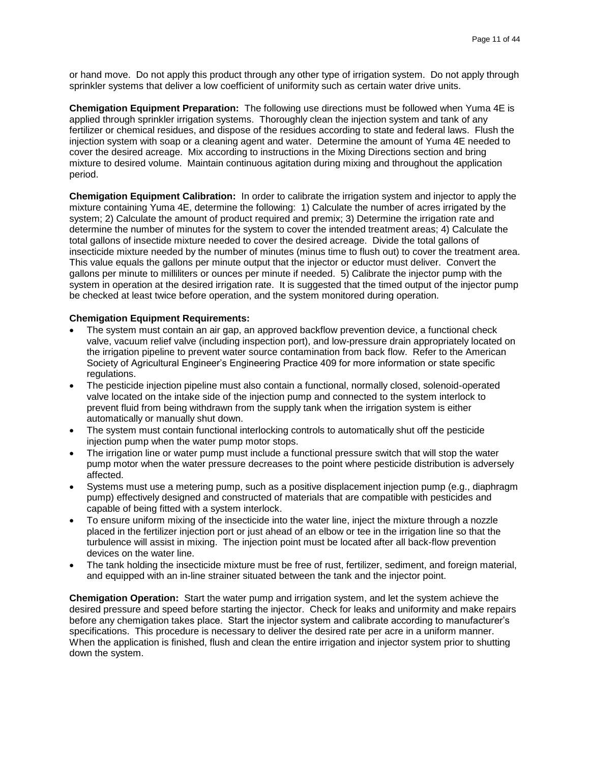or hand move. Do not apply this product through any other type of irrigation system. Do not apply through sprinkler systems that deliver a low coefficient of uniformity such as certain water drive units.

**Chemigation Equipment Preparation:** The following use directions must be followed when Yuma 4E is applied through sprinkler irrigation systems. Thoroughly clean the injection system and tank of any fertilizer or chemical residues, and dispose of the residues according to state and federal laws. Flush the injection system with soap or a cleaning agent and water. Determine the amount of Yuma 4E needed to cover the desired acreage. Mix according to instructions in the Mixing Directions section and bring mixture to desired volume. Maintain continuous agitation during mixing and throughout the application period.

**Chemigation Equipment Calibration:** In order to calibrate the irrigation system and injector to apply the mixture containing Yuma 4E, determine the following: 1) Calculate the number of acres irrigated by the system; 2) Calculate the amount of product required and premix; 3) Determine the irrigation rate and determine the number of minutes for the system to cover the intended treatment areas; 4) Calculate the total gallons of insectide mixture needed to cover the desired acreage. Divide the total gallons of insecticide mixture needed by the number of minutes (minus time to flush out) to cover the treatment area. This value equals the gallons per minute output that the injector or eductor must deliver. Convert the gallons per minute to milliliters or ounces per minute if needed. 5) Calibrate the injector pump with the system in operation at the desired irrigation rate. It is suggested that the timed output of the injector pump be checked at least twice before operation, and the system monitored during operation.

### **Chemigation Equipment Requirements:**

- The system must contain an air gap, an approved backflow prevention device, a functional check valve, vacuum relief valve (including inspection port), and low-pressure drain appropriately located on the irrigation pipeline to prevent water source contamination from back flow. Refer to the American Society of Agricultural Engineer's Engineering Practice 409 for more information or state specific regulations.
- The pesticide injection pipeline must also contain a functional, normally closed, solenoid-operated valve located on the intake side of the injection pump and connected to the system interlock to prevent fluid from being withdrawn from the supply tank when the irrigation system is either automatically or manually shut down.
- The system must contain functional interlocking controls to automatically shut off the pesticide injection pump when the water pump motor stops.
- The irrigation line or water pump must include a functional pressure switch that will stop the water pump motor when the water pressure decreases to the point where pesticide distribution is adversely affected.
- Systems must use a metering pump, such as a positive displacement injection pump (e.g., diaphragm pump) effectively designed and constructed of materials that are compatible with pesticides and capable of being fitted with a system interlock.
- To ensure uniform mixing of the insecticide into the water line, inject the mixture through a nozzle placed in the fertilizer injection port or just ahead of an elbow or tee in the irrigation line so that the turbulence will assist in mixing. The injection point must be located after all back-flow prevention devices on the water line.
- The tank holding the insecticide mixture must be free of rust, fertilizer, sediment, and foreign material, and equipped with an in-line strainer situated between the tank and the injector point.

**Chemigation Operation:** Start the water pump and irrigation system, and let the system achieve the desired pressure and speed before starting the injector. Check for leaks and uniformity and make repairs before any chemigation takes place. Start the injector system and calibrate according to manufacturer's specifications. This procedure is necessary to deliver the desired rate per acre in a uniform manner. When the application is finished, flush and clean the entire irrigation and injector system prior to shutting down the system.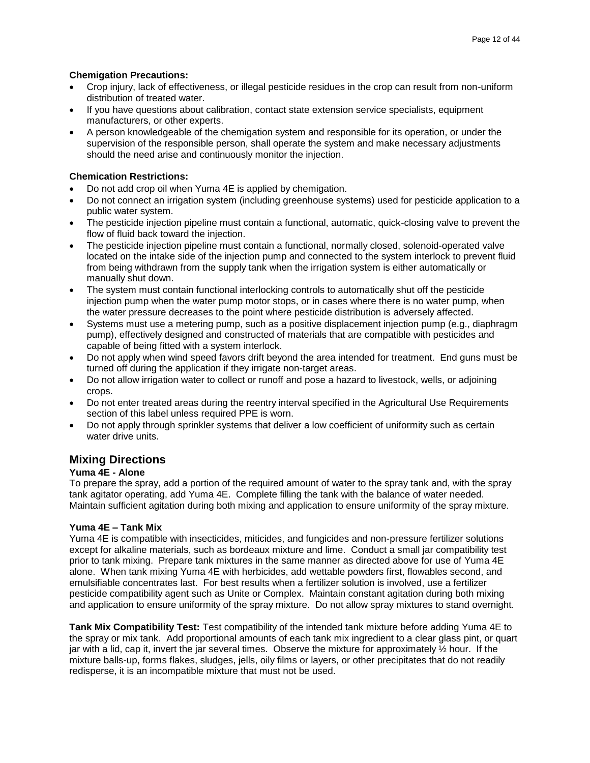### **Chemigation Precautions:**

- Crop injury, lack of effectiveness, or illegal pesticide residues in the crop can result from non-uniform distribution of treated water.
- If you have questions about calibration, contact state extension service specialists, equipment manufacturers, or other experts.
- A person knowledgeable of the chemigation system and responsible for its operation, or under the supervision of the responsible person, shall operate the system and make necessary adjustments should the need arise and continuously monitor the injection.

### **Chemication Restrictions:**

- Do not add crop oil when Yuma 4E is applied by chemigation.
- Do not connect an irrigation system (including greenhouse systems) used for pesticide application to a public water system.
- The pesticide injection pipeline must contain a functional, automatic, quick-closing valve to prevent the flow of fluid back toward the injection.
- The pesticide injection pipeline must contain a functional, normally closed, solenoid-operated valve located on the intake side of the injection pump and connected to the system interlock to prevent fluid from being withdrawn from the supply tank when the irrigation system is either automatically or manually shut down.
- The system must contain functional interlocking controls to automatically shut off the pesticide injection pump when the water pump motor stops, or in cases where there is no water pump, when the water pressure decreases to the point where pesticide distribution is adversely affected.
- Systems must use a metering pump, such as a positive displacement injection pump (e.g., diaphragm pump), effectively designed and constructed of materials that are compatible with pesticides and capable of being fitted with a system interlock.
- Do not apply when wind speed favors drift beyond the area intended for treatment. End guns must be turned off during the application if they irrigate non-target areas.
- Do not allow irrigation water to collect or runoff and pose a hazard to livestock, wells, or adjoining crops.
- Do not enter treated areas during the reentry interval specified in the Agricultural Use Requirements section of this label unless required PPE is worn.
- Do not apply through sprinkler systems that deliver a low coefficient of uniformity such as certain water drive units.

### **Mixing Directions**

### **Yuma 4E - Alone**

To prepare the spray, add a portion of the required amount of water to the spray tank and, with the spray tank agitator operating, add Yuma 4E. Complete filling the tank with the balance of water needed. Maintain sufficient agitation during both mixing and application to ensure uniformity of the spray mixture.

### **Yuma 4E – Tank Mix**

Yuma 4E is compatible with insecticides, miticides, and fungicides and non-pressure fertilizer solutions except for alkaline materials, such as bordeaux mixture and lime. Conduct a small jar compatibility test prior to tank mixing. Prepare tank mixtures in the same manner as directed above for use of Yuma 4E alone. When tank mixing Yuma 4E with herbicides, add wettable powders first, flowables second, and emulsifiable concentrates last. For best results when a fertilizer solution is involved, use a fertilizer pesticide compatibility agent such as Unite or Complex. Maintain constant agitation during both mixing and application to ensure uniformity of the spray mixture. Do not allow spray mixtures to stand overnight.

**Tank Mix Compatibility Test:** Test compatibility of the intended tank mixture before adding Yuma 4E to the spray or mix tank. Add proportional amounts of each tank mix ingredient to a clear glass pint, or quart jar with a lid, cap it, invert the jar several times. Observe the mixture for approximately ½ hour. If the mixture balls-up, forms flakes, sludges, jells, oily films or layers, or other precipitates that do not readily redisperse, it is an incompatible mixture that must not be used.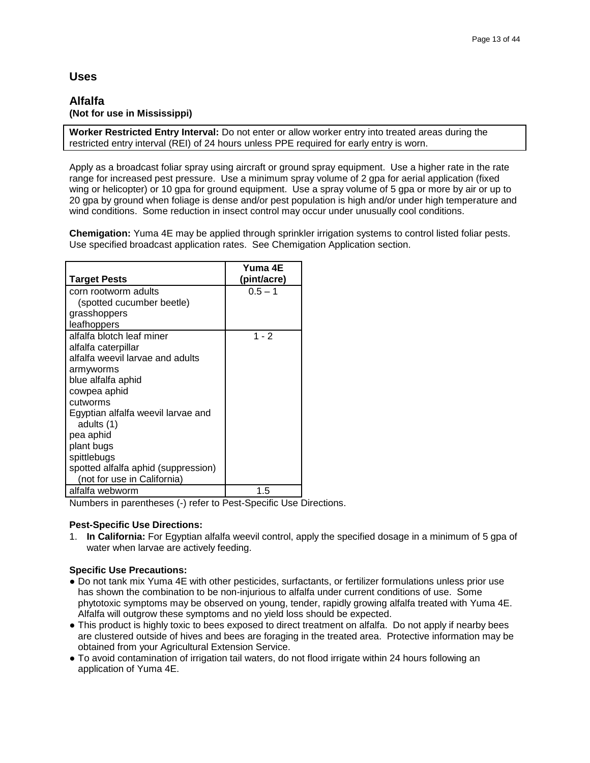### **Uses**

### **Alfalfa (Not for use in Mississippi)**

**Worker Restricted Entry Interval:** Do not enter or allow worker entry into treated areas during the restricted entry interval (REI) of 24 hours unless PPE required for early entry is worn.

Apply as a broadcast foliar spray using aircraft or ground spray equipment. Use a higher rate in the rate range for increased pest pressure. Use a minimum spray volume of 2 gpa for aerial application (fixed wing or helicopter) or 10 gpa for ground equipment. Use a spray volume of 5 gpa or more by air or up to 20 gpa by ground when foliage is dense and/or pest population is high and/or under high temperature and wind conditions. Some reduction in insect control may occur under unusually cool conditions.

**Chemigation:** Yuma 4E may be applied through sprinkler irrigation systems to control listed foliar pests. Use specified broadcast application rates. See Chemigation Application section.

|                                     | Yuma 4E     |
|-------------------------------------|-------------|
| <b>Target Pests</b>                 | (pint/acre) |
| corn rootworm adults                | $0.5 - 1$   |
| (spotted cucumber beetle)           |             |
| grasshoppers                        |             |
| leafhoppers                         |             |
| alfalfa blotch leaf miner           | $1 - 2$     |
| alfalfa caterpillar                 |             |
| alfalfa weevil larvae and adults    |             |
| armyworms                           |             |
| blue alfalfa aphid                  |             |
| cowpea aphid                        |             |
| cutworms                            |             |
| Egyptian alfalfa weevil larvae and  |             |
| adults (1)                          |             |
| pea aphid                           |             |
| plant bugs                          |             |
| spittlebugs                         |             |
| spotted alfalfa aphid (suppression) |             |
| (not for use in California)         |             |
| alfalfa webworm                     | 1.5         |

Numbers in parentheses (-) refer to Pest-Specific Use Directions.

### **Pest-Specific Use Directions:**

1. **In California:** For Egyptian alfalfa weevil control, apply the specified dosage in a minimum of 5 gpa of water when larvae are actively feeding.

### **Specific Use Precautions:**

- Do not tank mix Yuma 4E with other pesticides, surfactants, or fertilizer formulations unless prior use has shown the combination to be non-injurious to alfalfa under current conditions of use. Some phytotoxic symptoms may be observed on young, tender, rapidly growing alfalfa treated with Yuma 4E. Alfalfa will outgrow these symptoms and no yield loss should be expected.
- This product is highly toxic to bees exposed to direct treatment on alfalfa. Do not apply if nearby bees are clustered outside of hives and bees are foraging in the treated area. Protective information may be obtained from your Agricultural Extension Service.
- To avoid contamination of irrigation tail waters, do not flood irrigate within 24 hours following an application of Yuma 4E.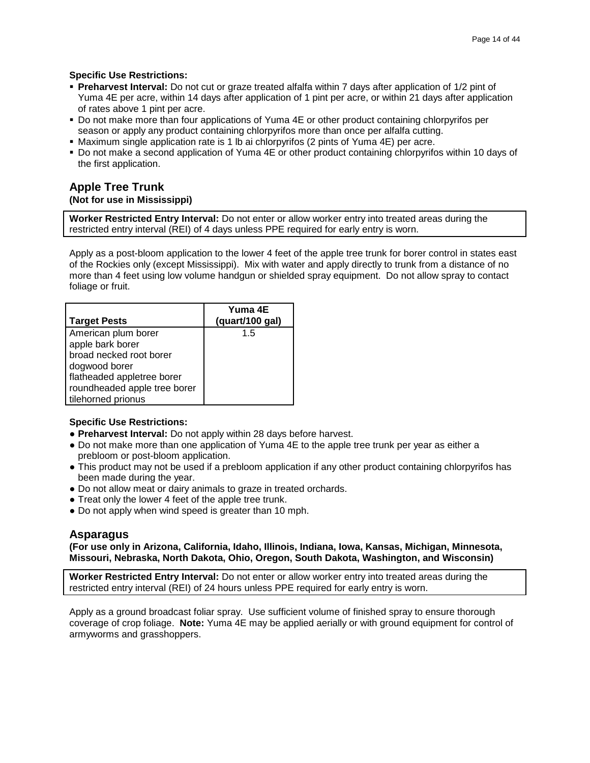### **Specific Use Restrictions:**

- **Preharvest Interval:** Do not cut or graze treated alfalfa within 7 days after application of 1/2 pint of Yuma 4E per acre, within 14 days after application of 1 pint per acre, or within 21 days after application of rates above 1 pint per acre.
- Do not make more than four applications of Yuma 4E or other product containing chlorpyrifos per season or apply any product containing chlorpyrifos more than once per alfalfa cutting.
- Maximum single application rate is 1 lb ai chlorpyrifos (2 pints of Yuma 4E) per acre.
- Do not make a second application of Yuma 4E or other product containing chlorpyrifos within 10 days of the first application.

### **Apple Tree Trunk (Not for use in Mississippi)**

**Worker Restricted Entry Interval:** Do not enter or allow worker entry into treated areas during the restricted entry interval (REI) of 4 days unless PPE required for early entry is worn.

Apply as a post-bloom application to the lower 4 feet of the apple tree trunk for borer control in states east of the Rockies only (except Mississippi). Mix with water and apply directly to trunk from a distance of no more than 4 feet using low volume handgun or shielded spray equipment. Do not allow spray to contact foliage or fruit.

| <b>Target Pests</b>          | Yuma 4E<br>(quart/100 gal) |
|------------------------------|----------------------------|
| American plum borer          | 15                         |
| apple bark borer             |                            |
| broad necked root borer      |                            |
| dogwood borer                |                            |
| flatheaded appletree borer   |                            |
| roundheaded apple tree borer |                            |
| tilehorned prionus           |                            |

### **Specific Use Restrictions:**

- **Preharvest Interval:** Do not apply within 28 days before harvest.
- Do not make more than one application of Yuma 4E to the apple tree trunk per year as either a prebloom or post-bloom application.
- This product may not be used if a prebloom application if any other product containing chlorpyrifos has been made during the year.
- Do not allow meat or dairy animals to graze in treated orchards.
- Treat only the lower 4 feet of the apple tree trunk.
- Do not apply when wind speed is greater than 10 mph.

### **Asparagus**

**(For use only in Arizona, California, Idaho, Illinois, Indiana, Iowa, Kansas, Michigan, Minnesota, Missouri, Nebraska, North Dakota, Ohio, Oregon, South Dakota, Washington, and Wisconsin)**

**Worker Restricted Entry Interval:** Do not enter or allow worker entry into treated areas during the restricted entry interval (REI) of 24 hours unless PPE required for early entry is worn.

Apply as a ground broadcast foliar spray. Use sufficient volume of finished spray to ensure thorough coverage of crop foliage. **Note:** Yuma 4E may be applied aerially or with ground equipment for control of armyworms and grasshoppers.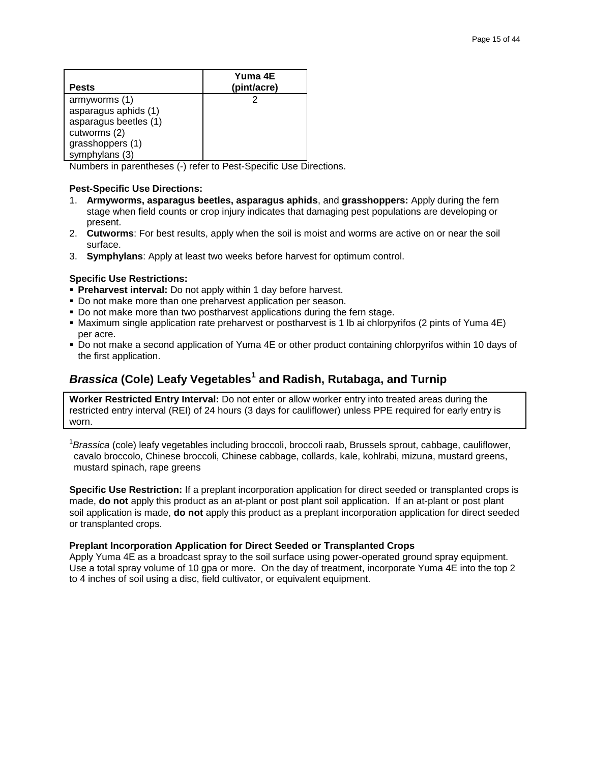| <b>Pests</b>          | Yuma 4E<br>(pint/acre) |
|-----------------------|------------------------|
| armyworms (1)         |                        |
| asparagus aphids (1)  |                        |
| asparagus beetles (1) |                        |
| cutworms (2)          |                        |
| grasshoppers (1)      |                        |
| symphylans (3)        |                        |

Numbers in parentheses (-) refer to Pest-Specific Use Directions.

### **Pest-Specific Use Directions:**

- 1. **Armyworms, asparagus beetles, asparagus aphids**, and **grasshoppers:** Apply during the fern stage when field counts or crop injury indicates that damaging pest populations are developing or present.
- 2. **Cutworms**: For best results, apply when the soil is moist and worms are active on or near the soil surface.
- 3. **Symphylans**: Apply at least two weeks before harvest for optimum control.

### **Specific Use Restrictions:**

- **Preharvest interval:** Do not apply within 1 day before harvest.
- Do not make more than one preharvest application per season.
- Do not make more than two postharvest applications during the fern stage.
- Maximum single application rate preharvest or postharvest is 1 lb ai chlorpyrifos (2 pints of Yuma 4E) per acre.
- Do not make a second application of Yuma 4E or other product containing chlorpyrifos within 10 days of the first application.

# *Brassica* **(Cole) Leafy Vegetables<sup>1</sup> and Radish, Rutabaga, and Turnip**

**Worker Restricted Entry Interval:** Do not enter or allow worker entry into treated areas during the restricted entry interval (REI) of 24 hours (3 days for cauliflower) unless PPE required for early entry is worn.

<sup>1</sup>Brassica (cole) leafy vegetables including broccoli, broccoli raab, Brussels sprout, cabbage, cauliflower, cavalo broccolo, Chinese broccoli, Chinese cabbage, collards, kale, kohlrabi, mizuna, mustard greens, mustard spinach, rape greens

**Specific Use Restriction:** If a preplant incorporation application for direct seeded or transplanted crops is made, **do not** apply this product as an at-plant or post plant soil application. If an at-plant or post plant soil application is made, **do not** apply this product as a preplant incorporation application for direct seeded or transplanted crops.

### **Preplant Incorporation Application for Direct Seeded or Transplanted Crops**

Apply Yuma 4E as a broadcast spray to the soil surface using power-operated ground spray equipment. Use a total spray volume of 10 gpa or more. On the day of treatment, incorporate Yuma 4E into the top 2 to 4 inches of soil using a disc, field cultivator, or equivalent equipment.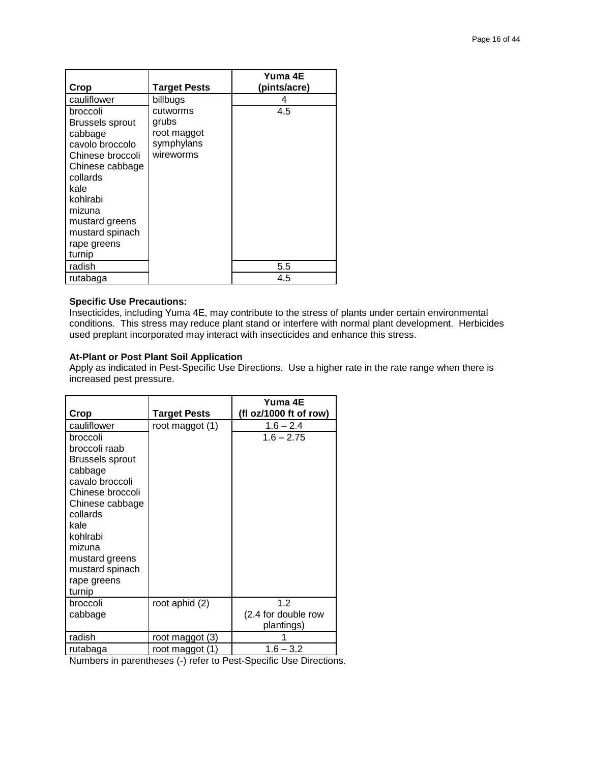|                  |                     | Yuma 4E      |
|------------------|---------------------|--------------|
| Crop             | <b>Target Pests</b> | (pints/acre) |
| cauliflower      | billbugs            |              |
| broccoli         | cutworms            | 4.5          |
| Brussels sprout  | grubs               |              |
| cabbage          | root maggot         |              |
| cavolo broccolo  | symphylans          |              |
| Chinese broccoli | wireworms           |              |
| Chinese cabbage  |                     |              |
| collards         |                     |              |
| kale             |                     |              |
| kohlrabi         |                     |              |
| mizuna           |                     |              |
| mustard greens   |                     |              |
| mustard spinach  |                     |              |
| rape greens      |                     |              |
| turnip           |                     |              |
| radish           |                     | 5.5          |
| rutabaga         |                     | 4.5          |

### **Specific Use Precautions:**

Insecticides, including Yuma 4E, may contribute to the stress of plants under certain environmental conditions. This stress may reduce plant stand or interfere with normal plant development. Herbicides used preplant incorporated may interact with insecticides and enhance this stress.

### **At-Plant or Post Plant Soil Application**

Apply as indicated in Pest-Specific Use Directions. Use a higher rate in the rate range when there is increased pest pressure.

|                                   |                     | Yuma 4E                |
|-----------------------------------|---------------------|------------------------|
| Crop                              | <b>Target Pests</b> | (fl oz/1000 ft of row) |
| cauliflower                       | root maggot (1)     | $1.6 - 2.4$            |
| broccoli<br>broccoli raab         |                     | $1.6 - 2.75$           |
| <b>Brussels sprout</b>            |                     |                        |
| cabbage                           |                     |                        |
| cavalo broccoli                   |                     |                        |
| Chinese broccoli                  |                     |                        |
| Chinese cabbage                   |                     |                        |
| collards                          |                     |                        |
| kale                              |                     |                        |
| kohlrabi<br>mizuna                |                     |                        |
|                                   |                     |                        |
| mustard greens<br>mustard spinach |                     |                        |
| rape greens                       |                     |                        |
| turnip                            |                     |                        |
| broccoli                          | root aphid (2)      | 1.2                    |
| cabbage                           |                     | (2.4 for double row    |
|                                   |                     | plantings)             |
| radish                            | root maggot (3)     |                        |
| rutabaga                          | root maggot (1)     | $1.6 - 3.2$            |

Numbers in parentheses (-) refer to Pest-Specific Use Directions.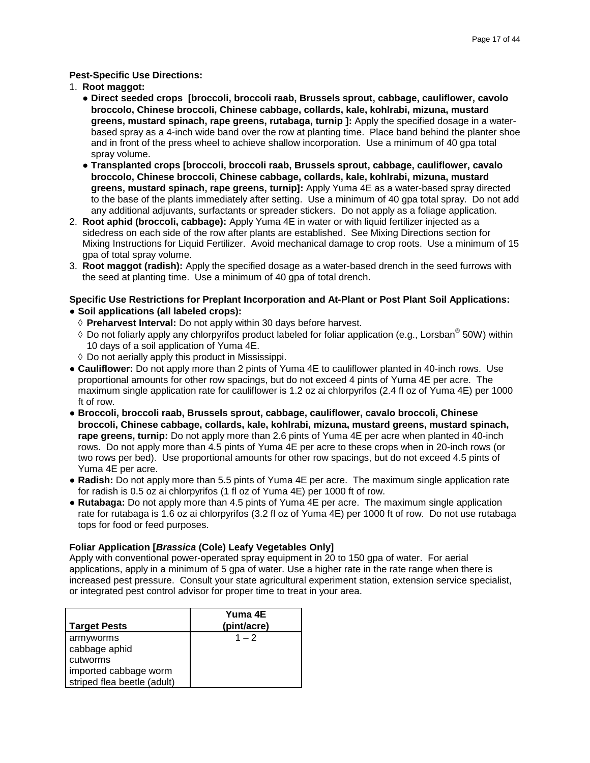### **Pest-Specific Use Directions:**

- 1. **Root maggot:**
	- **● Direct seeded crops [broccoli, broccoli raab, Brussels sprout, cabbage, cauliflower, cavolo broccolo, Chinese broccoli, Chinese cabbage, collards, kale, kohlrabi, mizuna, mustard greens, mustard spinach, rape greens, rutabaga, turnip ]:** Apply the specified dosage in a waterbased spray as a 4-inch wide band over the row at planting time. Place band behind the planter shoe and in front of the press wheel to achieve shallow incorporation. Use a minimum of 40 gpa total spray volume.
	- **● Transplanted crops [broccoli, broccoli raab, Brussels sprout, cabbage, cauliflower, cavalo broccolo, Chinese broccoli, Chinese cabbage, collards, kale, kohlrabi, mizuna, mustard greens, mustard spinach, rape greens, turnip]:** Apply Yuma 4E as a water-based spray directed to the base of the plants immediately after setting. Use a minimum of 40 gpa total spray. Do not add any additional adjuvants, surfactants or spreader stickers. Do not apply as a foliage application.
- 2. **Root aphid (broccoli, cabbage):** Apply Yuma 4E in water or with liquid fertilizer injected as a sidedress on each side of the row after plants are established. See Mixing Directions section for Mixing Instructions for Liquid Fertilizer. Avoid mechanical damage to crop roots. Use a minimum of 15 gpa of total spray volume.
- 3. **Root maggot (radish):** Apply the specified dosage as a water-based drench in the seed furrows with the seed at planting time. Use a minimum of 40 gpa of total drench.

### **Specific Use Restrictions for Preplant Incorporation and At-Plant or Post Plant Soil Applications: ● Soil applications (all labeled crops):**

- **Preharvest Interval:** Do not apply within 30 days before harvest.
- $\Diamond$  Do not foliarly apply any chlorpyrifos product labeled for foliar application (e.g., Lorsban $^\circ$  50W) within 10 days of a soil application of Yuma 4E.
- $\Diamond$  Do not aerially apply this product in Mississippi.
- **● Cauliflower:** Do not apply more than 2 pints of Yuma 4E to cauliflower planted in 40-inch rows. Use proportional amounts for other row spacings, but do not exceed 4 pints of Yuma 4E per acre. The maximum single application rate for cauliflower is 1.2 oz ai chlorpyrifos (2.4 fl oz of Yuma 4E) per 1000 ft of row.
- **● Broccoli, broccoli raab, Brussels sprout, cabbage, cauliflower, cavalo broccoli, Chinese broccoli, Chinese cabbage, collards, kale, kohlrabi, mizuna, mustard greens, mustard spinach, rape greens, turnip:** Do not apply more than 2.6 pints of Yuma 4E per acre when planted in 40-inch rows. Do not apply more than 4.5 pints of Yuma 4E per acre to these crops when in 20-inch rows (or two rows per bed). Use proportional amounts for other row spacings, but do not exceed 4.5 pints of Yuma 4E per acre.
- **● Radish:** Do not apply more than 5.5 pints of Yuma 4E per acre. The maximum single application rate for radish is 0.5 oz ai chlorpyrifos (1 fl oz of Yuma 4E) per 1000 ft of row.
- **● Rutabaga:** Do not apply more than 4.5 pints of Yuma 4E per acre. The maximum single application rate for rutabaga is 1.6 oz ai chlorpyrifos (3.2 fl oz of Yuma 4E) per 1000 ft of row. Do not use rutabaga tops for food or feed purposes.

### **Foliar Application [***Brassica* **(Cole) Leafy Vegetables Only]**

Apply with conventional power-operated spray equipment in 20 to 150 gpa of water. For aerial applications, apply in a minimum of 5 gpa of water. Use a higher rate in the rate range when there is increased pest pressure. Consult your state agricultural experiment station, extension service specialist, or integrated pest control advisor for proper time to treat in your area.

| Target Pests                | Yuma 4E<br>(pint/acre) |
|-----------------------------|------------------------|
| armyworms<br>cabbage aphid  | $1 - 2$                |
| cutworms                    |                        |
| imported cabbage worm       |                        |
| striped flea beetle (adult) |                        |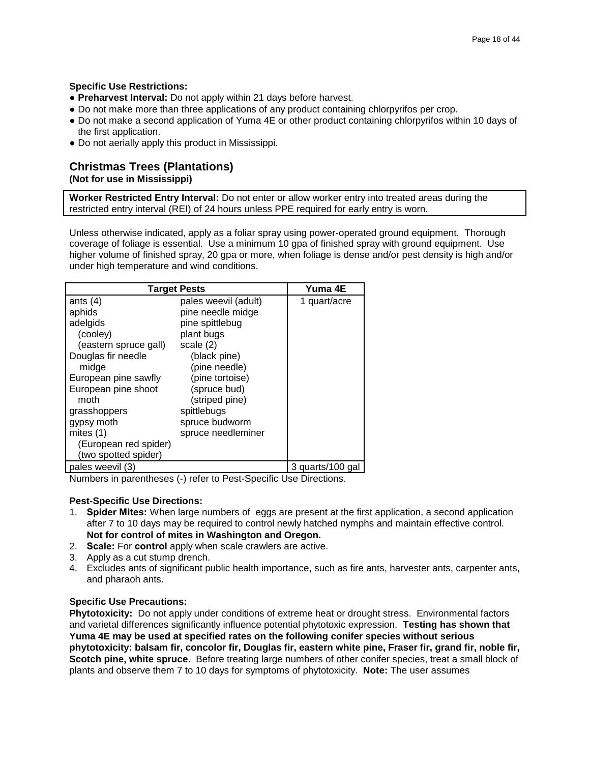### **Specific Use Restrictions:**

- **● Preharvest Interval:** Do not apply within 21 days before harvest.
- **●** Do not make more than three applications of any product containing chlorpyrifos per crop.
- **●** Do not make a second application of Yuma 4E or other product containing chlorpyrifos within 10 days of the first application.
- **●** Do not aerially apply this product in Mississippi.

# **Christmas Trees (Plantations)**

**(Not for use in Mississippi)**

**Worker Restricted Entry Interval:** Do not enter or allow worker entry into treated areas during the restricted entry interval (REI) of 24 hours unless PPE required for early entry is worn.

Unless otherwise indicated, apply as a foliar spray using power-operated ground equipment. Thorough coverage of foliage is essential. Use a minimum 10 gpa of finished spray with ground equipment. Use higher volume of finished spray, 20 gpa or more, when foliage is dense and/or pest density is high and/or under high temperature and wind conditions.

|                       | <b>Target Pests</b>  | Yuma 4E          |
|-----------------------|----------------------|------------------|
| ants $(4)$            | pales weevil (adult) | 1 quart/acre     |
| aphids                | pine needle midge    |                  |
| adelgids              | pine spittlebug      |                  |
| (cooley)              | plant bugs           |                  |
| (eastern spruce gall) | scale $(2)$          |                  |
| Douglas fir needle    | (black pine)         |                  |
| midge                 | (pine needle)        |                  |
| European pine sawfly  | (pine tortoise)      |                  |
| European pine shoot   | (spruce bud)         |                  |
| moth                  | (striped pine)       |                  |
| grasshoppers          | spittlebugs          |                  |
| gypsy moth            | spruce budworm       |                  |
| mites $(1)$           | spruce needleminer   |                  |
| (European red spider) |                      |                  |
| (two spotted spider)  |                      |                  |
| pales weevil (3)      |                      | 3 quarts/100 gal |

Numbers in parentheses (-) refer to Pest-Specific Use Directions.

### **Pest-Specific Use Directions:**

- 1. **Spider Mites:** When large numbers of eggs are present at the first application, a second application after 7 to 10 days may be required to control newly hatched nymphs and maintain effective control. **Not for control of mites in Washington and Oregon.**
- 2. **Scale:** For **control** apply when scale crawlers are active.
- 3. Apply as a cut stump drench.
- 4. Excludes ants of significant public health importance, such as fire ants, harvester ants, carpenter ants, and pharaoh ants.

### **Specific Use Precautions:**

**Phytotoxicity:** Do not apply under conditions of extreme heat or drought stress. Environmental factors and varietal differences significantly influence potential phytotoxic expression. **Testing has shown that Yuma 4E may be used at specified rates on the following conifer species without serious phytotoxicity: balsam fir, concolor fir, Douglas fir, eastern white pine, Fraser fir, grand fir, noble fir, Scotch pine, white spruce**. Before treating large numbers of other conifer species, treat a small block of plants and observe them 7 to 10 days for symptoms of phytotoxicity. **Note:** The user assumes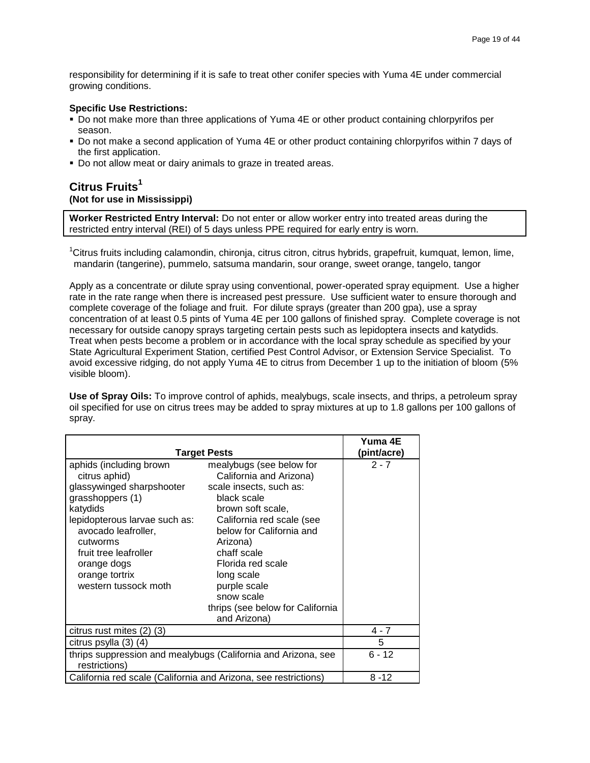responsibility for determining if it is safe to treat other conifer species with Yuma 4E under commercial growing conditions.

### **Specific Use Restrictions:**

- Do not make more than three applications of Yuma 4E or other product containing chlorpyrifos per season.
- Do not make a second application of Yuma 4E or other product containing chlorpyrifos within 7 days of the first application.
- Do not allow meat or dairy animals to graze in treated areas.

### **Citrus Fruits<sup>1</sup> (Not for use in Mississippi)**

**Worker Restricted Entry Interval:** Do not enter or allow worker entry into treated areas during the restricted entry interval (REI) of 5 days unless PPE required for early entry is worn.

<sup>1</sup>Citrus fruits including calamondin, chironja, citrus citron, citrus hybrids, grapefruit, kumquat, lemon, lime, mandarin (tangerine), pummelo, satsuma mandarin, sour orange, sweet orange, tangelo, tangor

Apply as a concentrate or dilute spray using conventional, power-operated spray equipment. Use a higher rate in the rate range when there is increased pest pressure. Use sufficient water to ensure thorough and complete coverage of the foliage and fruit. For dilute sprays (greater than 200 gpa), use a spray concentration of at least 0.5 pints of Yuma 4E per 100 gallons of finished spray. Complete coverage is not necessary for outside canopy sprays targeting certain pests such as lepidoptera insects and katydids. Treat when pests become a problem or in accordance with the local spray schedule as specified by your State Agricultural Experiment Station, certified Pest Control Advisor, or Extension Service Specialist. To avoid excessive ridging, do not apply Yuma 4E to citrus from December 1 up to the initiation of bloom (5% visible bloom).

**Use of Spray Oils:** To improve control of aphids, mealybugs, scale insects, and thrips, a petroleum spray oil specified for use on citrus trees may be added to spray mixtures at up to 1.8 gallons per 100 gallons of spray.

|                                                                                                                                                                                                                                                             |                                                                                                                                                                                                                                                                                                                             | Yuma 4E     |
|-------------------------------------------------------------------------------------------------------------------------------------------------------------------------------------------------------------------------------------------------------------|-----------------------------------------------------------------------------------------------------------------------------------------------------------------------------------------------------------------------------------------------------------------------------------------------------------------------------|-------------|
| <b>Target Pests</b>                                                                                                                                                                                                                                         |                                                                                                                                                                                                                                                                                                                             | (pint/acre) |
| aphids (including brown<br>citrus aphid)<br>glassywinged sharpshooter<br>grasshoppers (1)<br>katydids<br>lepidopterous larvae such as:<br>avocado leafroller,<br>cutworms<br>fruit tree leafroller<br>orange dogs<br>orange tortrix<br>western tussock moth | mealybugs (see below for<br>California and Arizona)<br>scale insects, such as:<br>black scale<br>brown soft scale,<br>California red scale (see<br>below for California and<br>Arizona)<br>chaff scale<br>Florida red scale<br>long scale<br>purple scale<br>snow scale<br>thrips (see below for California<br>and Arizona) | $2 - 7$     |
| citrus rust mites (2) (3)                                                                                                                                                                                                                                   |                                                                                                                                                                                                                                                                                                                             | 4 - 7       |
| citrus psylla (3) (4)                                                                                                                                                                                                                                       |                                                                                                                                                                                                                                                                                                                             | 5           |
| restrictions)                                                                                                                                                                                                                                               | thrips suppression and mealybugs (California and Arizona, see                                                                                                                                                                                                                                                               | $6 - 12$    |
| California red scale (California and Arizona, see restrictions)                                                                                                                                                                                             |                                                                                                                                                                                                                                                                                                                             | $8 - 12$    |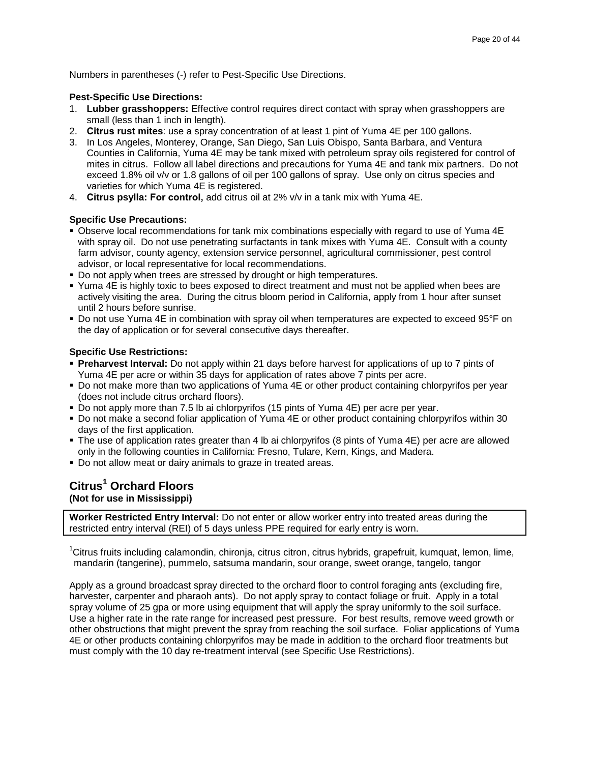Numbers in parentheses (-) refer to Pest-Specific Use Directions.

### **Pest-Specific Use Directions:**

- 1. **Lubber grasshoppers:** Effective control requires direct contact with spray when grasshoppers are small (less than 1 inch in length).
- 2. **Citrus rust mites**: use a spray concentration of at least 1 pint of Yuma 4E per 100 gallons.
- 3. In Los Angeles, Monterey, Orange, San Diego, San Luis Obispo, Santa Barbara, and Ventura Counties in California, Yuma 4E may be tank mixed with petroleum spray oils registered for control of mites in citrus. Follow all label directions and precautions for Yuma 4E and tank mix partners. Do not exceed 1.8% oil v/v or 1.8 gallons of oil per 100 gallons of spray. Use only on citrus species and varieties for which Yuma 4E is registered.
- 4. **Citrus psylla: For control,** add citrus oil at 2% v/v in a tank mix with Yuma 4E.

### **Specific Use Precautions:**

- Observe local recommendations for tank mix combinations especially with regard to use of Yuma 4E with spray oil. Do not use penetrating surfactants in tank mixes with Yuma 4E. Consult with a county farm advisor, county agency, extension service personnel, agricultural commissioner, pest control advisor, or local representative for local recommendations.
- Do not apply when trees are stressed by drought or high temperatures.
- Yuma 4E is highly toxic to bees exposed to direct treatment and must not be applied when bees are actively visiting the area. During the citrus bloom period in California, apply from 1 hour after sunset until 2 hours before sunrise.
- Do not use Yuma 4E in combination with spray oil when temperatures are expected to exceed 95°F on the day of application or for several consecutive days thereafter.

### **Specific Use Restrictions:**

- **Preharvest Interval:** Do not apply within 21 days before harvest for applications of up to 7 pints of Yuma 4E per acre or within 35 days for application of rates above 7 pints per acre.
- Do not make more than two applications of Yuma 4E or other product containing chlorpyrifos per year (does not include citrus orchard floors).
- Do not apply more than 7.5 lb ai chlorpyrifos (15 pints of Yuma 4E) per acre per year.
- Do not make a second foliar application of Yuma 4E or other product containing chlorpyrifos within 30 days of the first application.
- The use of application rates greater than 4 lb ai chlorpyrifos (8 pints of Yuma 4E) per acre are allowed only in the following counties in California: Fresno, Tulare, Kern, Kings, and Madera.
- Do not allow meat or dairy animals to graze in treated areas.

# **Citrus<sup>1</sup> Orchard Floors**

# **(Not for use in Mississippi)**

**Worker Restricted Entry Interval:** Do not enter or allow worker entry into treated areas during the restricted entry interval (REI) of 5 days unless PPE required for early entry is worn.

<sup>1</sup>Citrus fruits including calamondin, chironja, citrus citron, citrus hybrids, grapefruit, kumquat, lemon, lime, mandarin (tangerine), pummelo, satsuma mandarin, sour orange, sweet orange, tangelo, tangor

Apply as a ground broadcast spray directed to the orchard floor to control foraging ants (excluding fire, harvester, carpenter and pharaoh ants). Do not apply spray to contact foliage or fruit. Apply in a total spray volume of 25 gpa or more using equipment that will apply the spray uniformly to the soil surface. Use a higher rate in the rate range for increased pest pressure. For best results, remove weed growth or other obstructions that might prevent the spray from reaching the soil surface. Foliar applications of Yuma 4E or other products containing chlorpyrifos may be made in addition to the orchard floor treatments but must comply with the 10 day re-treatment interval (see Specific Use Restrictions).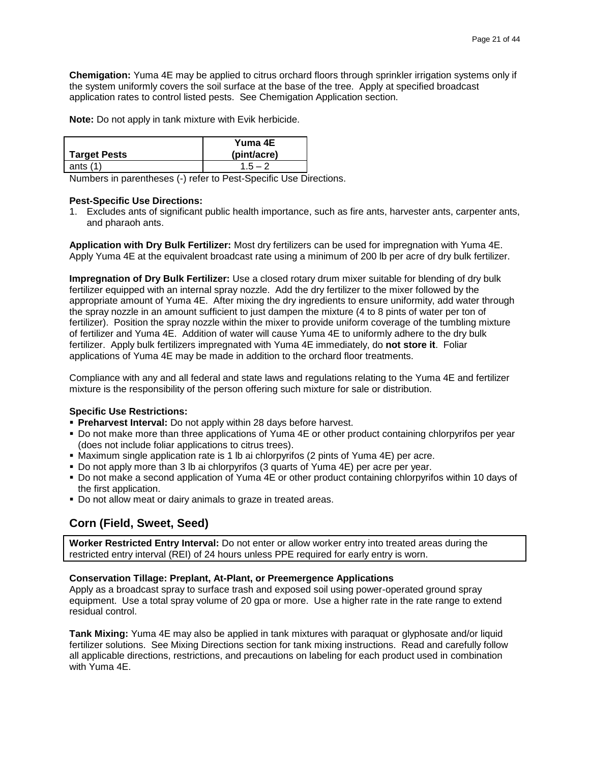**Chemigation:** Yuma 4E may be applied to citrus orchard floors through sprinkler irrigation systems only if the system uniformly covers the soil surface at the base of the tree. Apply at specified broadcast application rates to control listed pests. See Chemigation Application section.

**Note:** Do not apply in tank mixture with Evik herbicide.

|                     | Yuma 4E     |
|---------------------|-------------|
| <b>Target Pests</b> | (pint/acre) |
| ants $(1)$          | $1.5 - 2$   |

Numbers in parentheses (-) refer to Pest-Specific Use Directions.

### **Pest-Specific Use Directions:**

1. Excludes ants of significant public health importance, such as fire ants, harvester ants, carpenter ants, and pharaoh ants.

**Application with Dry Bulk Fertilizer:** Most dry fertilizers can be used for impregnation with Yuma 4E. Apply Yuma 4E at the equivalent broadcast rate using a minimum of 200 lb per acre of dry bulk fertilizer.

**Impregnation of Dry Bulk Fertilizer:** Use a closed rotary drum mixer suitable for blending of dry bulk fertilizer equipped with an internal spray nozzle. Add the dry fertilizer to the mixer followed by the appropriate amount of Yuma 4E. After mixing the dry ingredients to ensure uniformity, add water through the spray nozzle in an amount sufficient to just dampen the mixture (4 to 8 pints of water per ton of fertilizer). Position the spray nozzle within the mixer to provide uniform coverage of the tumbling mixture of fertilizer and Yuma 4E. Addition of water will cause Yuma 4E to uniformly adhere to the dry bulk fertilizer. Apply bulk fertilizers impregnated with Yuma 4E immediately, do **not store it**. Foliar applications of Yuma 4E may be made in addition to the orchard floor treatments.

Compliance with any and all federal and state laws and regulations relating to the Yuma 4E and fertilizer mixture is the responsibility of the person offering such mixture for sale or distribution.

### **Specific Use Restrictions:**

- **Preharvest Interval:** Do not apply within 28 days before harvest.
- Do not make more than three applications of Yuma 4E or other product containing chlorpyrifos per year (does not include foliar applications to citrus trees).
- Maximum single application rate is 1 lb ai chlorpyrifos (2 pints of Yuma 4E) per acre.
- Do not apply more than 3 lb ai chlorpyrifos (3 quarts of Yuma 4E) per acre per year.
- Do not make a second application of Yuma 4E or other product containing chlorpyrifos within 10 days of the first application.
- Do not allow meat or dairy animals to graze in treated areas.

# **Corn (Field, Sweet, Seed)**

**Worker Restricted Entry Interval:** Do not enter or allow worker entry into treated areas during the restricted entry interval (REI) of 24 hours unless PPE required for early entry is worn.

### **Conservation Tillage: Preplant, At-Plant, or Preemergence Applications**

Apply as a broadcast spray to surface trash and exposed soil using power-operated ground spray equipment. Use a total spray volume of 20 gpa or more. Use a higher rate in the rate range to extend residual control.

**Tank Mixing:** Yuma 4E may also be applied in tank mixtures with paraquat or glyphosate and/or liquid fertilizer solutions. See Mixing Directions section for tank mixing instructions. Read and carefully follow all applicable directions, restrictions, and precautions on labeling for each product used in combination with Yuma 4E.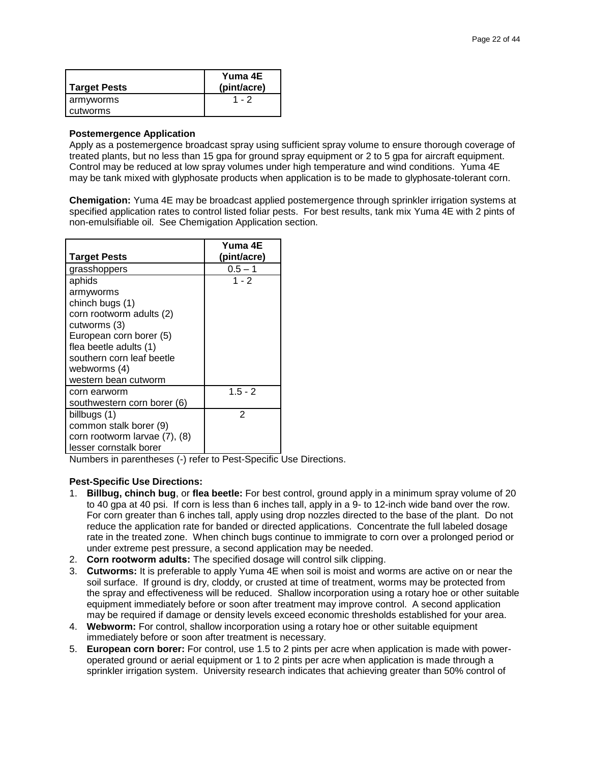| <b>Target Pests</b> | Yuma 4E<br>(pint/acre) |
|---------------------|------------------------|
| armyworms           | $1 - 2$                |
| cutworms            |                        |

#### **Postemergence Application**

Apply as a postemergence broadcast spray using sufficient spray volume to ensure thorough coverage of treated plants, but no less than 15 gpa for ground spray equipment or 2 to 5 gpa for aircraft equipment. Control may be reduced at low spray volumes under high temperature and wind conditions. Yuma 4E may be tank mixed with glyphosate products when application is to be made to glyphosate-tolerant corn.

**Chemigation:** Yuma 4E may be broadcast applied postemergence through sprinkler irrigation systems at specified application rates to control listed foliar pests. For best results, tank mix Yuma 4E with 2 pints of non-emulsifiable oil. See Chemigation Application section.

| <b>Target Pests</b>           | Yuma 4E<br>(pint/acre) |
|-------------------------------|------------------------|
| grasshoppers                  | $0.5 - 1$              |
| aphids                        | $1 - 2$                |
| armyworms                     |                        |
| chinch bugs (1)               |                        |
| corn rootworm adults (2)      |                        |
| cutworms (3)                  |                        |
| European corn borer (5)       |                        |
| flea beetle adults (1)        |                        |
| southern corn leaf beetle     |                        |
| webworms (4)                  |                        |
| western bean cutworm          |                        |
| corn earworm                  | $1.5 - 2$              |
| southwestern corn borer (6)   |                        |
| billbugs (1)                  | $\mathcal{P}$          |
| common stalk borer (9)        |                        |
| corn rootworm larvae (7), (8) |                        |
| lesser cornstalk borer        |                        |

Numbers in parentheses (-) refer to Pest-Specific Use Directions.

### **Pest-Specific Use Directions:**

- 1. **Billbug, chinch bug**, or **flea beetle:** For best control, ground apply in a minimum spray volume of 20 to 40 gpa at 40 psi. If corn is less than 6 inches tall, apply in a 9- to 12-inch wide band over the row. For corn greater than 6 inches tall, apply using drop nozzles directed to the base of the plant. Do not reduce the application rate for banded or directed applications. Concentrate the full labeled dosage rate in the treated zone. When chinch bugs continue to immigrate to corn over a prolonged period or under extreme pest pressure, a second application may be needed.
- 2. **Corn rootworm adults:** The specified dosage will control silk clipping.
- 3. **Cutworms:** It is preferable to apply Yuma 4E when soil is moist and worms are active on or near the soil surface. If ground is dry, cloddy, or crusted at time of treatment, worms may be protected from the spray and effectiveness will be reduced. Shallow incorporation using a rotary hoe or other suitable equipment immediately before or soon after treatment may improve control. A second application may be required if damage or density levels exceed economic thresholds established for your area.
- 4. **Webworm:** For control, shallow incorporation using a rotary hoe or other suitable equipment immediately before or soon after treatment is necessary.
- 5. **European corn borer:** For control, use 1.5 to 2 pints per acre when application is made with poweroperated ground or aerial equipment or 1 to 2 pints per acre when application is made through a sprinkler irrigation system. University research indicates that achieving greater than 50% control of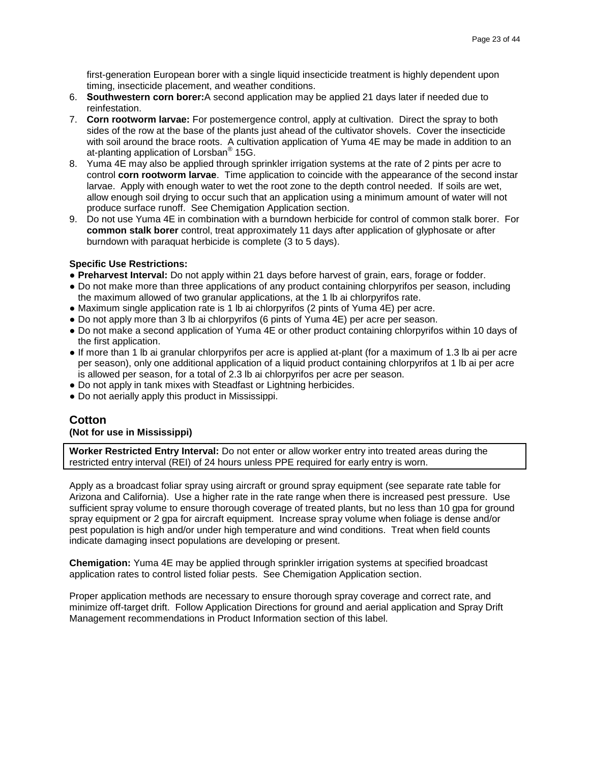first-generation European borer with a single liquid insecticide treatment is highly dependent upon timing, insecticide placement, and weather conditions.

- 6. **Southwestern corn borer:**A second application may be applied 21 days later if needed due to reinfestation.
- 7. **Corn rootworm larvae:** For postemergence control, apply at cultivation. Direct the spray to both sides of the row at the base of the plants just ahead of the cultivator shovels. Cover the insecticide with soil around the brace roots. A cultivation application of Yuma 4E may be made in addition to an at-planting application of Lorsban® 15G.
- 8. Yuma 4E may also be applied through sprinkler irrigation systems at the rate of 2 pints per acre to control **corn rootworm larvae**. Time application to coincide with the appearance of the second instar larvae. Apply with enough water to wet the root zone to the depth control needed. If soils are wet, allow enough soil drying to occur such that an application using a minimum amount of water will not produce surface runoff. See Chemigation Application section.
- 9. Do not use Yuma 4E in combination with a burndown herbicide for control of common stalk borer. For **common stalk borer** control, treat approximately 11 days after application of glyphosate or after burndown with paraquat herbicide is complete (3 to 5 days).

### **Specific Use Restrictions:**

- **Preharvest Interval:** Do not apply within 21 days before harvest of grain, ears, forage or fodder.
- Do not make more than three applications of any product containing chlorpyrifos per season, including the maximum allowed of two granular applications, at the 1 lb ai chlorpyrifos rate.
- Maximum single application rate is 1 lb ai chlorpyrifos (2 pints of Yuma 4E) per acre.
- Do not apply more than 3 lb ai chlorpyrifos (6 pints of Yuma 4E) per acre per season.
- Do not make a second application of Yuma 4E or other product containing chlorpyrifos within 10 days of the first application.
- If more than 1 lb ai granular chlorpyrifos per acre is applied at-plant (for a maximum of 1.3 lb ai per acre per season), only one additional application of a liquid product containing chlorpyrifos at 1 lb ai per acre is allowed per season, for a total of 2.3 lb ai chlorpyrifos per acre per season.
- Do not apply in tank mixes with Steadfast or Lightning herbicides.
- Do not aerially apply this product in Mississippi.

### **Cotton**

### **(Not for use in Mississippi)**

**Worker Restricted Entry Interval:** Do not enter or allow worker entry into treated areas during the restricted entry interval (REI) of 24 hours unless PPE required for early entry is worn.

Apply as a broadcast foliar spray using aircraft or ground spray equipment (see separate rate table for Arizona and California). Use a higher rate in the rate range when there is increased pest pressure. Use sufficient spray volume to ensure thorough coverage of treated plants, but no less than 10 gpa for ground spray equipment or 2 gpa for aircraft equipment. Increase spray volume when foliage is dense and/or pest population is high and/or under high temperature and wind conditions. Treat when field counts indicate damaging insect populations are developing or present.

**Chemigation:** Yuma 4E may be applied through sprinkler irrigation systems at specified broadcast application rates to control listed foliar pests. See Chemigation Application section.

Proper application methods are necessary to ensure thorough spray coverage and correct rate, and minimize off-target drift. Follow Application Directions for ground and aerial application and Spray Drift Management recommendations in Product Information section of this label.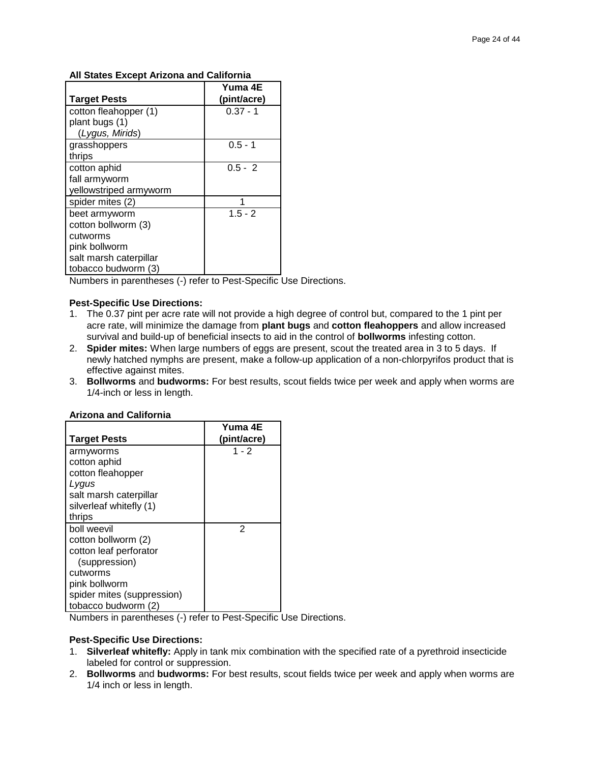### **All States Except Arizona and California**

|                        | Yuma 4E     |
|------------------------|-------------|
| <b>Target Pests</b>    | (pint/acre) |
| cotton fleahopper (1)  | $0.37 - 1$  |
| plant bugs (1)         |             |
| (Lygus, Mirids)        |             |
| grasshoppers           | $0.5 - 1$   |
| thrips                 |             |
| cotton aphid           | $0.5 - 2$   |
| fall armyworm          |             |
| yellowstriped armyworm |             |
| spider mites (2)       |             |
| beet armyworm          | $1.5 - 2$   |
| cotton bollworm (3)    |             |
| cutworms               |             |
| pink bollworm          |             |
| salt marsh caterpillar |             |
| tobacco budworm (3)    |             |

Numbers in parentheses (-) refer to Pest-Specific Use Directions.

### **Pest-Specific Use Directions:**

- 1. The 0.37 pint per acre rate will not provide a high degree of control but, compared to the 1 pint per acre rate, will minimize the damage from **plant bugs** and **cotton fleahoppers** and allow increased survival and build-up of beneficial insects to aid in the control of **bollworms** infesting cotton.
- 2. **Spider mites:** When large numbers of eggs are present, scout the treated area in 3 to 5 days. If newly hatched nymphs are present, make a follow-up application of a non-chlorpyrifos product that is effective against mites.
- 3. **Bollworms** and **budworms:** For best results, scout fields twice per week and apply when worms are 1/4-inch or less in length.

| <b>Target Pests</b>        | Yuma 4E<br>(pint/acre) |
|----------------------------|------------------------|
| armyworms                  | $1 - 2$                |
| cotton aphid               |                        |
| cotton fleahopper          |                        |
| Lygus                      |                        |
| salt marsh caterpillar     |                        |
| silverleaf whitefly (1)    |                        |
| thrips                     |                        |
| boll weevil                | 2                      |
| cotton bollworm (2)        |                        |
| cotton leaf perforator     |                        |
| (suppression)              |                        |
| cutworms                   |                        |
| pink bollworm              |                        |
| spider mites (suppression) |                        |
| tobacco budworm (2)        |                        |

#### **Arizona and California**

Numbers in parentheses (-) refer to Pest-Specific Use Directions.

### **Pest-Specific Use Directions:**

- 1. **Silverleaf whitefly:** Apply in tank mix combination with the specified rate of a pyrethroid insecticide labeled for control or suppression.
- 2. **Bollworms** and **budworms:** For best results, scout fields twice per week and apply when worms are 1/4 inch or less in length.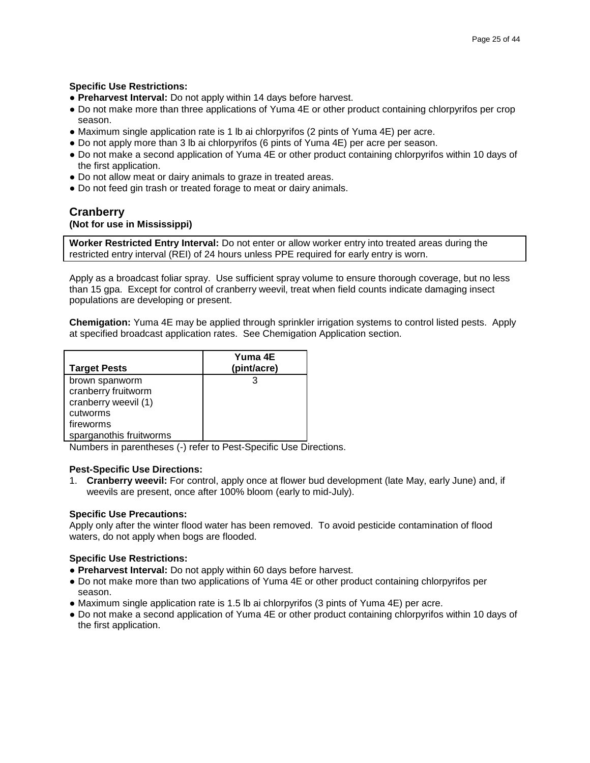### **Specific Use Restrictions:**

- **● Preharvest Interval:** Do not apply within 14 days before harvest.
- **●** Do not make more than three applications of Yuma 4E or other product containing chlorpyrifos per crop season.
- **●** Maximum single application rate is 1 lb ai chlorpyrifos (2 pints of Yuma 4E) per acre.
- **●** Do not apply more than 3 lb ai chlorpyrifos (6 pints of Yuma 4E) per acre per season.
- **●** Do not make a second application of Yuma 4E or other product containing chlorpyrifos within 10 days of the first application.
- **●** Do not allow meat or dairy animals to graze in treated areas.
- **●** Do not feed gin trash or treated forage to meat or dairy animals.

### **Cranberry (Not for use in Mississippi)**

**Worker Restricted Entry Interval:** Do not enter or allow worker entry into treated areas during the restricted entry interval (REI) of 24 hours unless PPE required for early entry is worn.

Apply as a broadcast foliar spray. Use sufficient spray volume to ensure thorough coverage, but no less than 15 gpa. Except for control of cranberry weevil, treat when field counts indicate damaging insect populations are developing or present.

**Chemigation:** Yuma 4E may be applied through sprinkler irrigation systems to control listed pests. Apply at specified broadcast application rates. See Chemigation Application section.

| <b>Target Pests</b>     | Yuma 4E<br>(pint/acre) |
|-------------------------|------------------------|
| brown spanworm          |                        |
| cranberry fruitworm     |                        |
| cranberry weevil (1)    |                        |
| cutworms                |                        |
| fireworms               |                        |
| sparganothis fruitworms |                        |

Numbers in parentheses (-) refer to Pest-Specific Use Directions.

### **Pest-Specific Use Directions:**

1. **Cranberry weevil:** For control, apply once at flower bud development (late May, early June) and, if weevils are present, once after 100% bloom (early to mid-July).

### **Specific Use Precautions:**

Apply only after the winter flood water has been removed. To avoid pesticide contamination of flood waters, do not apply when bogs are flooded.

- **Preharvest Interval:** Do not apply within 60 days before harvest.
- Do not make more than two applications of Yuma 4E or other product containing chlorpyrifos per season.
- Maximum single application rate is 1.5 lb ai chlorpyrifos (3 pints of Yuma 4E) per acre.
- Do not make a second application of Yuma 4E or other product containing chlorpyrifos within 10 days of the first application.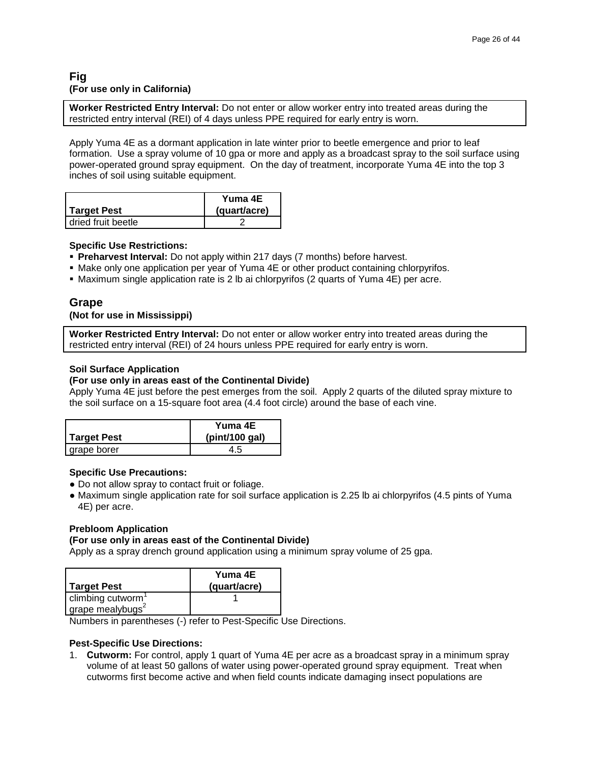### **Fig (For use only in California)**

**Worker Restricted Entry Interval:** Do not enter or allow worker entry into treated areas during the restricted entry interval (REI) of 4 days unless PPE required for early entry is worn.

Apply Yuma 4E as a dormant application in late winter prior to beetle emergence and prior to leaf formation. Use a spray volume of 10 gpa or more and apply as a broadcast spray to the soil surface using power-operated ground spray equipment. On the day of treatment, incorporate Yuma 4E into the top 3 inches of soil using suitable equipment.

|                      | Yuma 4E      |
|----------------------|--------------|
| Target Pest          | (quart/acre) |
| I dried fruit beetle |              |

### **Specific Use Restrictions:**

- **Preharvest Interval:** Do not apply within 217 days (7 months) before harvest.
- **Make only one application per year of Yuma 4E or other product containing chlorpyrifos.**
- Maximum single application rate is 2 lb ai chlorpyrifos (2 quarts of Yuma 4E) per acre.

### **Grape**

**(Not for use in Mississippi)**

**Worker Restricted Entry Interval:** Do not enter or allow worker entry into treated areas during the restricted entry interval (REI) of 24 hours unless PPE required for early entry is worn.

### **Soil Surface Application**

#### **(For use only in areas east of the Continental Divide)**

Apply Yuma 4E just before the pest emerges from the soil. Apply 2 quarts of the diluted spray mixture to the soil surface on a 15-square foot area (4.4 foot circle) around the base of each vine.

|             | Yuma 4E        |
|-------------|----------------|
| Target Pest | (pint/100 gal) |
| grape borer | 4.5            |

#### **Specific Use Precautions:**

- **●** Do not allow spray to contact fruit or foliage.
- **●** Maximum single application rate for soil surface application is 2.25 lb ai chlorpyrifos (4.5 pints of Yuma 4E) per acre.

#### **Prebloom Application**

#### **(For use only in areas east of the Continental Divide)**

Apply as a spray drench ground application using a minimum spray volume of 25 gpa.

| <b>Target Pest</b>            | Yuma 4E<br>(quart/acre) |
|-------------------------------|-------------------------|
| climbing cutworm <sup>1</sup> |                         |
| grape mealybugs <sup>2</sup>  |                         |

Numbers in parentheses (-) refer to Pest-Specific Use Directions.

#### **Pest-Specific Use Directions:**

1. **Cutworm:** For control, apply 1 quart of Yuma 4E per acre as a broadcast spray in a minimum spray volume of at least 50 gallons of water using power-operated ground spray equipment. Treat when cutworms first become active and when field counts indicate damaging insect populations are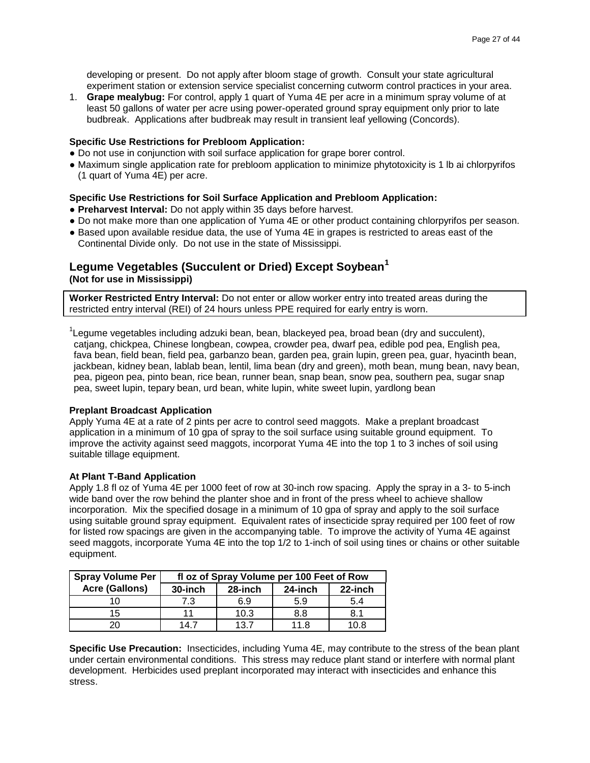developing or present. Do not apply after bloom stage of growth. Consult your state agricultural experiment station or extension service specialist concerning cutworm control practices in your area.

1. **Grape mealybug:** For control, apply 1 quart of Yuma 4E per acre in a minimum spray volume of at least 50 gallons of water per acre using power-operated ground spray equipment only prior to late budbreak. Applications after budbreak may result in transient leaf yellowing (Concords).

### **Specific Use Restrictions for Prebloom Application:**

- **●** Do not use in conjunction with soil surface application for grape borer control.
- **●** Maximum single application rate for prebloom application to minimize phytotoxicity is 1 lb ai chlorpyrifos (1 quart of Yuma 4E) per acre.

### **Specific Use Restrictions for Soil Surface Application and Prebloom Application:**

- **● Preharvest Interval:** Do not apply within 35 days before harvest.
- **●** Do not make more than one application of Yuma 4E or other product containing chlorpyrifos per season.
- **●** Based upon available residue data, the use of Yuma 4E in grapes is restricted to areas east of the Continental Divide only. Do not use in the state of Mississippi.

### **Legume Vegetables (Succulent or Dried) Except Soybean<sup>1</sup> (Not for use in Mississippi)**

**Worker Restricted Entry Interval:** Do not enter or allow worker entry into treated areas during the restricted entry interval (REI) of 24 hours unless PPE required for early entry is worn.

<sup>1</sup>Legume vegetables including adzuki bean, bean, blackeyed pea, broad bean (dry and succulent), catjang, chickpea, Chinese longbean, cowpea, crowder pea, dwarf pea, edible pod pea, English pea, fava bean, field bean, field pea, garbanzo bean, garden pea, grain lupin, green pea, guar, hyacinth bean, jackbean, kidney bean, lablab bean, lentil, lima bean (dry and green), moth bean, mung bean, navy bean, pea, pigeon pea, pinto bean, rice bean, runner bean, snap bean, snow pea, southern pea, sugar snap pea, sweet lupin, tepary bean, urd bean, white lupin, white sweet lupin, yardlong bean

#### **Preplant Broadcast Application**

Apply Yuma 4E at a rate of 2 pints per acre to control seed maggots. Make a preplant broadcast application in a minimum of 10 gpa of spray to the soil surface using suitable ground equipment. To improve the activity against seed maggots, incorporat Yuma 4E into the top 1 to 3 inches of soil using suitable tillage equipment.

#### **At Plant T-Band Application**

Apply 1.8 fl oz of Yuma 4E per 1000 feet of row at 30-inch row spacing. Apply the spray in a 3- to 5-inch wide band over the row behind the planter shoe and in front of the press wheel to achieve shallow incorporation. Mix the specified dosage in a minimum of 10 gpa of spray and apply to the soil surface using suitable ground spray equipment. Equivalent rates of insecticide spray required per 100 feet of row for listed row spacings are given in the accompanying table. To improve the activity of Yuma 4E against seed maggots, incorporate Yuma 4E into the top 1/2 to 1-inch of soil using tines or chains or other suitable equipment.

| <b>Spray Volume Per</b> | fl oz of Spray Volume per 100 Feet of Row |         |         |         |
|-------------------------|-------------------------------------------|---------|---------|---------|
| <b>Acre (Gallons)</b>   | 30-inch                                   | 28-inch | 24-inch | 22-inch |
| 10                      | 7.3                                       | 6.9     | 5.9     | 5.4     |
| 15                      | 11                                        | 10.3    | 8.8     | 8.1     |
| ንበ                      | 14 7                                      | 13.7    |         | IO 8    |

**Specific Use Precaution:** Insecticides, including Yuma 4E, may contribute to the stress of the bean plant under certain environmental conditions. This stress may reduce plant stand or interfere with normal plant development. Herbicides used preplant incorporated may interact with insecticides and enhance this stress.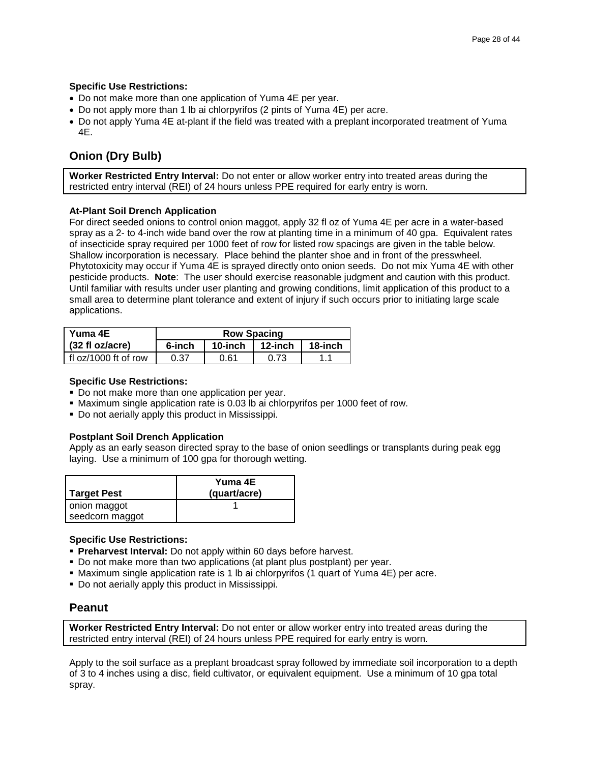### **Specific Use Restrictions:**

- Do not make more than one application of Yuma 4E per year.
- Do not apply more than 1 lb ai chlorpyrifos (2 pints of Yuma 4E) per acre.
- Do not apply Yuma 4E at-plant if the field was treated with a preplant incorporated treatment of Yuma 4E.

### **Onion (Dry Bulb)**

**Worker Restricted Entry Interval:** Do not enter or allow worker entry into treated areas during the restricted entry interval (REI) of 24 hours unless PPE required for early entry is worn.

### **At-Plant Soil Drench Application**

For direct seeded onions to control onion maggot, apply 32 fl oz of Yuma 4E per acre in a water-based spray as a 2- to 4-inch wide band over the row at planting time in a minimum of 40 gpa. Equivalent rates of insecticide spray required per 1000 feet of row for listed row spacings are given in the table below. Shallow incorporation is necessary. Place behind the planter shoe and in front of the presswheel. Phytotoxicity may occur if Yuma 4E is sprayed directly onto onion seeds. Do not mix Yuma 4E with other pesticide products. **Note**: The user should exercise reasonable judgment and caution with this product. Until familiar with results under user planting and growing conditions, limit application of this product to a small area to determine plant tolerance and extent of injury if such occurs prior to initiating large scale applications.

| Yuma 4E                   | <b>Row Spacing</b> |         |         |         |
|---------------------------|--------------------|---------|---------|---------|
| $(32 \text{ fl oz/acre})$ | 6-inch             | 10-inch | 12-inch | 18-inch |
| fl $oz/1000$ ft of row    | 0.37               | 0.61    | 0.73    |         |

### **Specific Use Restrictions:**

- Do not make more than one application per year.
- Maximum single application rate is 0.03 lb ai chlorpyrifos per 1000 feet of row.
- Do not aerially apply this product in Mississippi.

### **Postplant Soil Drench Application**

Apply as an early season directed spray to the base of onion seedlings or transplants during peak egg laying. Use a minimum of 100 gpa for thorough wetting.

| Target Pest                     | Yuma 4E<br>(quart/acre) |
|---------------------------------|-------------------------|
| onion maggot<br>seedcorn maggot |                         |

### **Specific Use Restrictions:**

- **Preharvest Interval:** Do not apply within 60 days before harvest.
- Do not make more than two applications (at plant plus postplant) per year.
- Maximum single application rate is 1 lb ai chlorpyrifos (1 quart of Yuma 4E) per acre.
- Do not aerially apply this product in Mississippi.

### **Peanut**

**Worker Restricted Entry Interval:** Do not enter or allow worker entry into treated areas during the restricted entry interval (REI) of 24 hours unless PPE required for early entry is worn.

Apply to the soil surface as a preplant broadcast spray followed by immediate soil incorporation to a depth of 3 to 4 inches using a disc, field cultivator, or equivalent equipment. Use a minimum of 10 gpa total spray.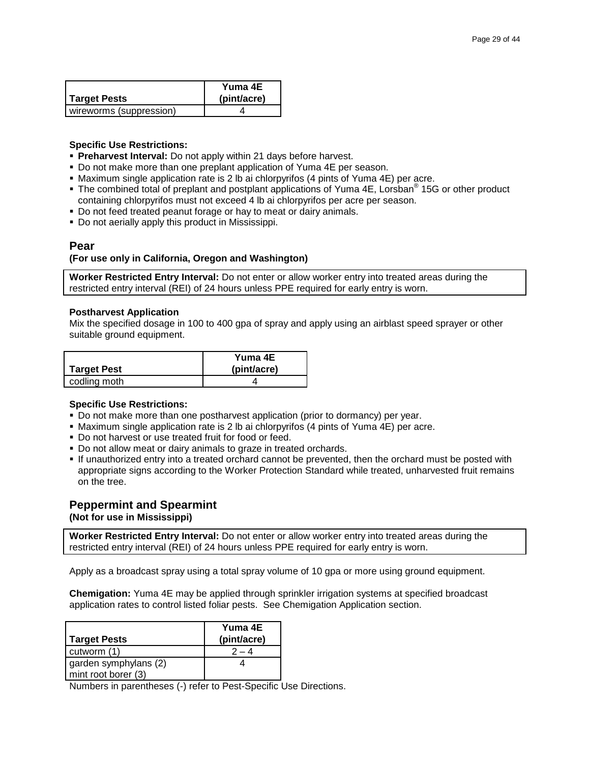|                         | Yuma 4E     |
|-------------------------|-------------|
| Target Pests            | (pint/acre) |
| wireworms (suppression) |             |

### **Specific Use Restrictions:**

- **Preharvest Interval:** Do not apply within 21 days before harvest.
- Do not make more than one preplant application of Yuma 4E per season.
- Maximum single application rate is 2 lb ai chlorpyrifos (4 pints of Yuma 4E) per acre.
- The combined total of preplant and postplant applications of Yuma 4E, Lorsban<sup>®</sup> 15G or other product containing chlorpyrifos must not exceed 4 lb ai chlorpyrifos per acre per season.
- Do not feed treated peanut forage or hay to meat or dairy animals.
- Do not aerially apply this product in Mississippi.

### **Pear**

### **(For use only in California, Oregon and Washington)**

**Worker Restricted Entry Interval:** Do not enter or allow worker entry into treated areas during the restricted entry interval (REI) of 24 hours unless PPE required for early entry is worn.

### **Postharvest Application**

Mix the specified dosage in 100 to 400 gpa of spray and apply using an airblast speed sprayer or other suitable ground equipment.

|              | Yuma 4E     |
|--------------|-------------|
| Target Pest  | (pint/acre) |
| codling moth |             |

### **Specific Use Restrictions:**

- Do not make more than one postharvest application (prior to dormancy) per year.
- Maximum single application rate is 2 lb ai chlorpyrifos (4 pints of Yuma 4E) per acre.
- Do not harvest or use treated fruit for food or feed.
- Do not allow meat or dairy animals to graze in treated orchards.
- If unauthorized entry into a treated orchard cannot be prevented, then the orchard must be posted with appropriate signs according to the Worker Protection Standard while treated, unharvested fruit remains on the tree.

### **Peppermint and Spearmint**

**(Not for use in Mississippi)**

**Worker Restricted Entry Interval:** Do not enter or allow worker entry into treated areas during the restricted entry interval (REI) of 24 hours unless PPE required for early entry is worn.

Apply as a broadcast spray using a total spray volume of 10 gpa or more using ground equipment.

**Chemigation:** Yuma 4E may be applied through sprinkler irrigation systems at specified broadcast application rates to control listed foliar pests. See Chemigation Application section.

| Target Pests                                 | Yuma 4E<br>(pint/acre) |
|----------------------------------------------|------------------------|
| cutworm (1)                                  | $2 - 4$                |
| garden symphylans (2)<br>mint root borer (3) |                        |

Numbers in parentheses (-) refer to Pest-Specific Use Directions.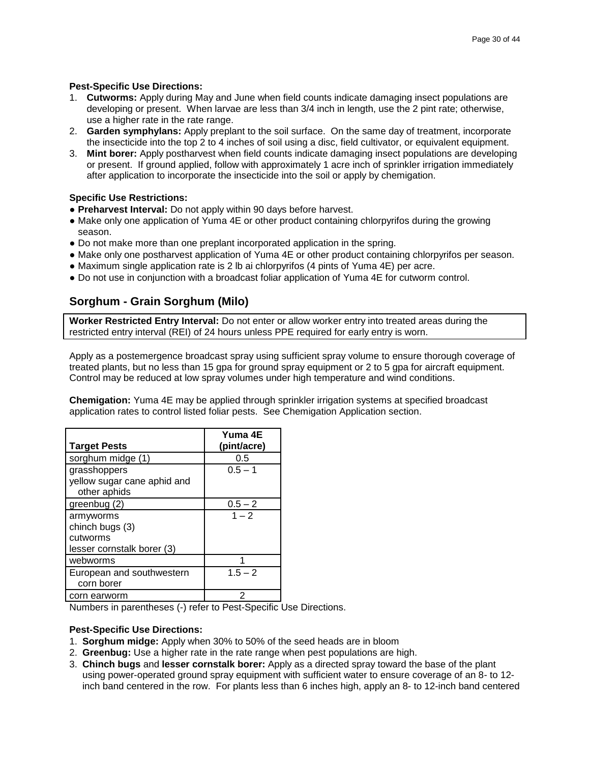### **Pest-Specific Use Directions:**

- 1. **Cutworms:** Apply during May and June when field counts indicate damaging insect populations are developing or present. When larvae are less than 3/4 inch in length, use the 2 pint rate; otherwise, use a higher rate in the rate range.
- 2. **Garden symphylans:** Apply preplant to the soil surface. On the same day of treatment, incorporate the insecticide into the top 2 to 4 inches of soil using a disc, field cultivator, or equivalent equipment.
- 3. **Mint borer:** Apply postharvest when field counts indicate damaging insect populations are developing or present. If ground applied, follow with approximately 1 acre inch of sprinkler irrigation immediately after application to incorporate the insecticide into the soil or apply by chemigation.

### **Specific Use Restrictions:**

- **● Preharvest Interval:** Do not apply within 90 days before harvest.
- **●** Make only one application of Yuma 4E or other product containing chlorpyrifos during the growing season.
- **●** Do not make more than one preplant incorporated application in the spring.
- **●** Make only one postharvest application of Yuma 4E or other product containing chlorpyrifos per season.
- **●** Maximum single application rate is 2 lb ai chlorpyrifos (4 pints of Yuma 4E) per acre.
- **●** Do not use in conjunction with a broadcast foliar application of Yuma 4E for cutworm control.

# **Sorghum - Grain Sorghum (Milo)**

**Worker Restricted Entry Interval:** Do not enter or allow worker entry into treated areas during the restricted entry interval (REI) of 24 hours unless PPE required for early entry is worn.

Apply as a postemergence broadcast spray using sufficient spray volume to ensure thorough coverage of treated plants, but no less than 15 gpa for ground spray equipment or 2 to 5 gpa for aircraft equipment. Control may be reduced at low spray volumes under high temperature and wind conditions.

**Chemigation:** Yuma 4E may be applied through sprinkler irrigation systems at specified broadcast application rates to control listed foliar pests. See Chemigation Application section.

|                             | Yuma 4E     |
|-----------------------------|-------------|
| <b>Target Pests</b>         | (pint/acre) |
| sorghum midge (1)           | 0.5         |
| grasshoppers                | $0.5 - 1$   |
| yellow sugar cane aphid and |             |
| other aphids                |             |
| greenbug (2)                | $0.5 - 2$   |
| armyworms                   | $1 - 2$     |
| chinch bugs (3)             |             |
| cutworms                    |             |
| lesser cornstalk borer (3)  |             |
| webworms                    | 4           |
| European and southwestern   | $1.5 - 2$   |
| corn borer                  |             |
| corn earworm                | 2           |

Numbers in parentheses (-) refer to Pest-Specific Use Directions.

### **Pest-Specific Use Directions:**

- 1. **Sorghum midge:** Apply when 30% to 50% of the seed heads are in bloom
- 2. **Greenbug:** Use a higher rate in the rate range when pest populations are high.
- 3. **Chinch bugs** and **lesser cornstalk borer:** Apply as a directed spray toward the base of the plant using power-operated ground spray equipment with sufficient water to ensure coverage of an 8- to 12 inch band centered in the row. For plants less than 6 inches high, apply an 8- to 12-inch band centered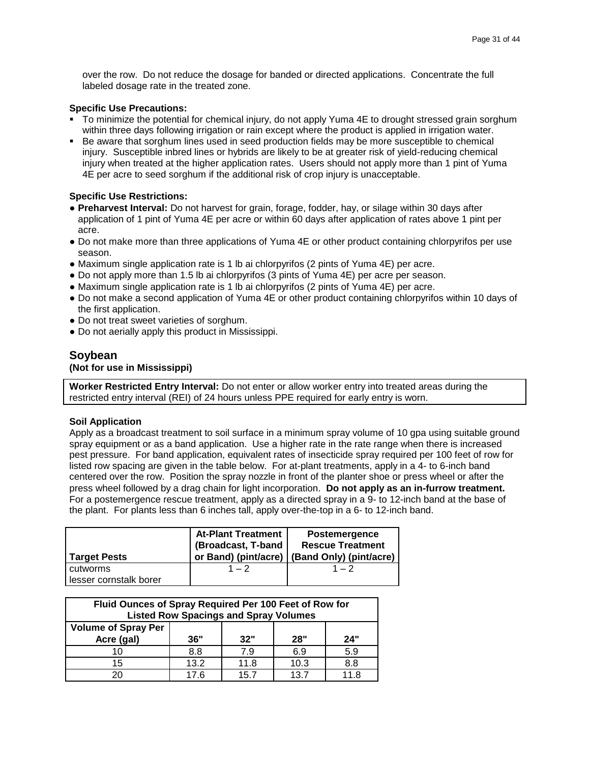over the row. Do not reduce the dosage for banded or directed applications. Concentrate the full labeled dosage rate in the treated zone.

### **Specific Use Precautions:**

- To minimize the potential for chemical injury, do not apply Yuma 4E to drought stressed grain sorghum within three days following irrigation or rain except where the product is applied in irrigation water.
- Be aware that sorghum lines used in seed production fields may be more susceptible to chemical injury. Susceptible inbred lines or hybrids are likely to be at greater risk of yield-reducing chemical injury when treated at the higher application rates. Users should not apply more than 1 pint of Yuma 4E per acre to seed sorghum if the additional risk of crop injury is unacceptable.

### **Specific Use Restrictions:**

- **● Preharvest Interval:** Do not harvest for grain, forage, fodder, hay, or silage within 30 days after application of 1 pint of Yuma 4E per acre or within 60 days after application of rates above 1 pint per acre.
- **●** Do not make more than three applications of Yuma 4E or other product containing chlorpyrifos per use season.
- **●** Maximum single application rate is 1 lb ai chlorpyrifos (2 pints of Yuma 4E) per acre.
- **●** Do not apply more than 1.5 lb ai chlorpyrifos (3 pints of Yuma 4E) per acre per season.
- **●** Maximum single application rate is 1 lb ai chlorpyrifos (2 pints of Yuma 4E) per acre.
- **●** Do not make a second application of Yuma 4E or other product containing chlorpyrifos within 10 days of the first application.
- **●** Do not treat sweet varieties of sorghum.
- Do not aerially apply this product in Mississippi.

### **Soybean**

### **(Not for use in Mississippi)**

**Worker Restricted Entry Interval:** Do not enter or allow worker entry into treated areas during the restricted entry interval (REI) of 24 hours unless PPE required for early entry is worn.

#### **Soil Application**

Apply as a broadcast treatment to soil surface in a minimum spray volume of 10 gpa using suitable ground spray equipment or as a band application. Use a higher rate in the rate range when there is increased pest pressure. For band application, equivalent rates of insecticide spray required per 100 feet of row for listed row spacing are given in the table below. For at-plant treatments, apply in a 4- to 6-inch band centered over the row. Position the spray nozzle in front of the planter shoe or press wheel or after the press wheel followed by a drag chain for light incorporation. **Do not apply as an in-furrow treatment.** For a postemergence rescue treatment, apply as a directed spray in a 9- to 12-inch band at the base of the plant. For plants less than 6 inches tall, apply over-the-top in a 6- to 12-inch band.

| Target Pests                              | <b>At-Plant Treatment</b><br>(Broadcast, T-band | <b>Postemergence</b><br><b>Rescue Treatment</b><br>or Band) (pint/acre)   (Band Only) (pint/acre) |
|-------------------------------------------|-------------------------------------------------|---------------------------------------------------------------------------------------------------|
| <b>cutworms</b><br>lesser cornstalk borer | $1 - 2$                                         | $1 - 2$                                                                                           |

| Fluid Ounces of Spray Required Per 100 Feet of Row for<br><b>Listed Row Spacings and Spray Volumes</b> |      |      |      |     |
|--------------------------------------------------------------------------------------------------------|------|------|------|-----|
| <b>Volume of Spray Per</b><br>Acre (gal)                                                               | 36"  | 32"  | 28"  | 24" |
| 10                                                                                                     | 8.8  | 7.9  | 6.9  | 5.9 |
| 15                                                                                                     | 13.2 | 11.8 | 10.3 | 8.8 |
|                                                                                                        | 17 6 | 157  | 13.7 |     |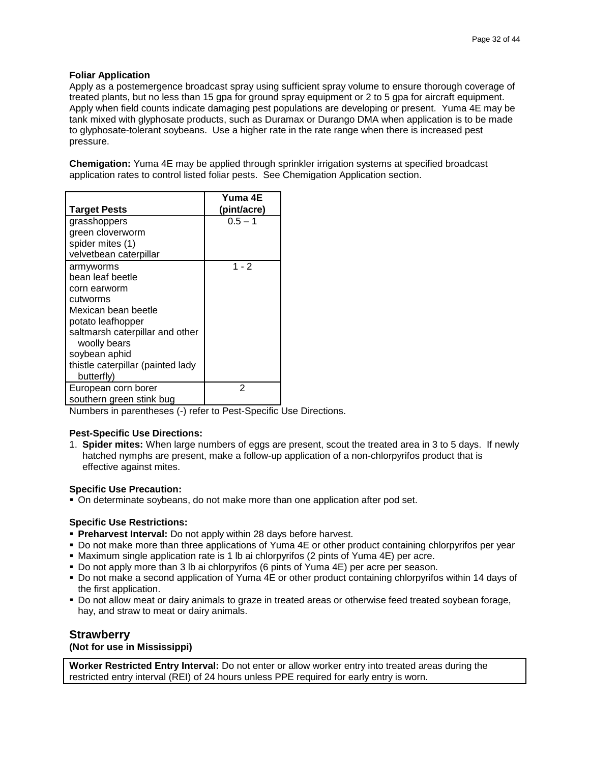### **Foliar Application**

Apply as a postemergence broadcast spray using sufficient spray volume to ensure thorough coverage of treated plants, but no less than 15 gpa for ground spray equipment or 2 to 5 gpa for aircraft equipment. Apply when field counts indicate damaging pest populations are developing or present. Yuma 4E may be tank mixed with glyphosate products, such as Duramax or Durango DMA when application is to be made to glyphosate-tolerant soybeans. Use a higher rate in the rate range when there is increased pest pressure.

**Chemigation:** Yuma 4E may be applied through sprinkler irrigation systems at specified broadcast application rates to control listed foliar pests. See Chemigation Application section.

|                                   | Yuma 4E     |
|-----------------------------------|-------------|
| <b>Target Pests</b>               | (pint/acre) |
| grasshoppers                      | $0.5 - 1$   |
| green cloverworm                  |             |
| spider mites (1)                  |             |
| velvetbean caterpillar            |             |
| armyworms                         | $1 - 2$     |
| bean leaf beetle                  |             |
| corn earworm                      |             |
| cutworms                          |             |
| Mexican bean beetle               |             |
| potato leafhopper                 |             |
| saltmarsh caterpillar and other   |             |
| woolly bears                      |             |
| soybean aphid                     |             |
| thistle caterpillar (painted lady |             |
| butterfly)                        |             |
| European corn borer               | 2           |
| southern green stink bug          |             |

Numbers in parentheses (-) refer to Pest-Specific Use Directions.

### **Pest-Specific Use Directions:**

1. **Spider mites:** When large numbers of eggs are present, scout the treated area in 3 to 5 days. If newly hatched nymphs are present, make a follow-up application of a non-chlorpyrifos product that is effective against mites.

#### **Specific Use Precaution:**

On determinate soybeans, do not make more than one application after pod set.

### **Specific Use Restrictions:**

- **Preharvest Interval:** Do not apply within 28 days before harvest.
- Do not make more than three applications of Yuma 4E or other product containing chlorpyrifos per year
- Maximum single application rate is 1 lb ai chlorpyrifos (2 pints of Yuma 4E) per acre.
- Do not apply more than 3 lb ai chlorpyrifos (6 pints of Yuma 4E) per acre per season.
- Do not make a second application of Yuma 4E or other product containing chlorpyrifos within 14 days of the first application.
- Do not allow meat or dairy animals to graze in treated areas or otherwise feed treated soybean forage, hay, and straw to meat or dairy animals.

### **Strawberry**

#### **(Not for use in Mississippi)**

**Worker Restricted Entry Interval:** Do not enter or allow worker entry into treated areas during the restricted entry interval (REI) of 24 hours unless PPE required for early entry is worn.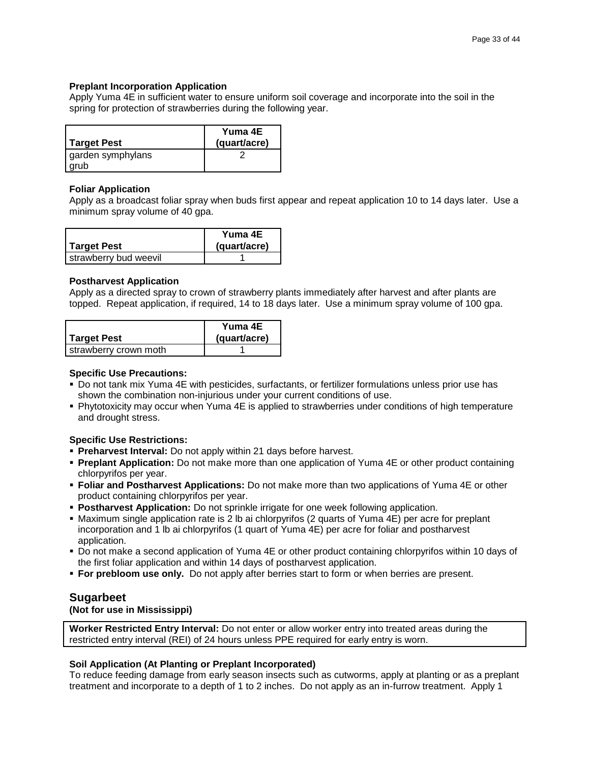### **Preplant Incorporation Application**

Apply Yuma 4E in sufficient water to ensure uniform soil coverage and incorporate into the soil in the spring for protection of strawberries during the following year.

| <b>Target Pest</b> | Yuma 4E<br>(quart/acre) |
|--------------------|-------------------------|
| garden symphylans  |                         |
| grub               |                         |

### **Foliar Application**

Apply as a broadcast foliar spray when buds first appear and repeat application 10 to 14 days later. Use a minimum spray volume of 40 gpa.

|                       | Yuma 4E      |
|-----------------------|--------------|
| Target Pest           | (quart/acre) |
| strawberry bud weevil |              |

### **Postharvest Application**

Apply as a directed spray to crown of strawberry plants immediately after harvest and after plants are topped. Repeat application, if required, 14 to 18 days later. Use a minimum spray volume of 100 gpa.

|                       | Yuma 4E      |
|-----------------------|--------------|
| <b>Target Pest</b>    | (quart/acre) |
| strawberry crown moth |              |

### **Specific Use Precautions:**

- Do not tank mix Yuma 4E with pesticides, surfactants, or fertilizer formulations unless prior use has shown the combination non-injurious under your current conditions of use.
- Phytotoxicity may occur when Yuma 4E is applied to strawberries under conditions of high temperature and drought stress.

### **Specific Use Restrictions:**

- **Preharvest Interval:** Do not apply within 21 days before harvest.
- **Preplant Application:** Do not make more than one application of Yuma 4E or other product containing chlorpyrifos per year.
- **Foliar and Postharvest Applications:** Do not make more than two applications of Yuma 4E or other product containing chlorpyrifos per year.
- **Postharvest Application:** Do not sprinkle irrigate for one week following application.
- Maximum single application rate is 2 lb ai chlorpyrifos (2 quarts of Yuma 4E) per acre for preplant incorporation and 1 lb ai chlorpyrifos (1 quart of Yuma 4E) per acre for foliar and postharvest application.
- Do not make a second application of Yuma 4E or other product containing chlorpyrifos within 10 days of the first foliar application and within 14 days of postharvest application.
- **For prebloom use only.** Do not apply after berries start to form or when berries are present.

### **Sugarbeet**

**(Not for use in Mississippi)**

**Worker Restricted Entry Interval:** Do not enter or allow worker entry into treated areas during the restricted entry interval (REI) of 24 hours unless PPE required for early entry is worn.

### **Soil Application (At Planting or Preplant Incorporated)**

To reduce feeding damage from early season insects such as cutworms, apply at planting or as a preplant treatment and incorporate to a depth of 1 to 2 inches. Do not apply as an in-furrow treatment. Apply 1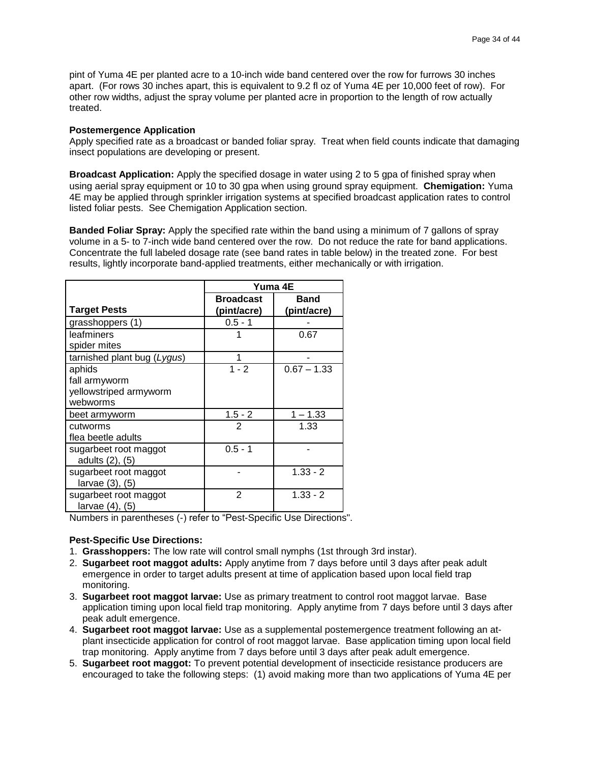pint of Yuma 4E per planted acre to a 10-inch wide band centered over the row for furrows 30 inches apart. (For rows 30 inches apart, this is equivalent to 9.2 fl oz of Yuma 4E per 10,000 feet of row). For other row widths, adjust the spray volume per planted acre in proportion to the length of row actually treated.

### **Postemergence Application**

Apply specified rate as a broadcast or banded foliar spray. Treat when field counts indicate that damaging insect populations are developing or present.

**Broadcast Application:** Apply the specified dosage in water using 2 to 5 gpa of finished spray when using aerial spray equipment or 10 to 30 gpa when using ground spray equipment. **Chemigation:** Yuma 4E may be applied through sprinkler irrigation systems at specified broadcast application rates to control listed foliar pests. See Chemigation Application section.

**Banded Foliar Spray:** Apply the specified rate within the band using a minimum of 7 gallons of spray volume in a 5- to 7-inch wide band centered over the row. Do not reduce the rate for band applications. Concentrate the full labeled dosage rate (see band rates in table below) in the treated zone. For best results, lightly incorporate band-applied treatments, either mechanically or with irrigation.

|                                          | Yuma 4E          |               |  |
|------------------------------------------|------------------|---------------|--|
|                                          | <b>Broadcast</b> | <b>Band</b>   |  |
| <b>Target Pests</b>                      | (pint/acre)      | (pint/acre)   |  |
| grasshoppers (1)                         | $0.5 - 1$        |               |  |
| leafminers                               |                  | 0.67          |  |
| spider mites                             |                  |               |  |
| tarnished plant bug (Lygus)              | 1                |               |  |
| aphids                                   | $1 - 2$          | $0.67 - 1.33$ |  |
| fall armyworm                            |                  |               |  |
| yellowstriped armyworm                   |                  |               |  |
| webworms                                 |                  |               |  |
| beet armyworm                            | $1.5 - 2$        | $1 - 1.33$    |  |
| cutworms                                 | 2                | 1.33          |  |
| flea beetle adults                       |                  |               |  |
| sugarbeet root maggot                    | $0.5 - 1$        |               |  |
| adults (2), (5)                          |                  |               |  |
| sugarbeet root maggot                    |                  | $1.33 - 2$    |  |
| larvae (3), (5)                          |                  |               |  |
| sugarbeet root maggot<br>larvae (4), (5) | $\overline{2}$   | $1.33 - 2$    |  |

Numbers in parentheses (-) refer to "Pest-Specific Use Directions".

### **Pest-Specific Use Directions:**

- 1. **Grasshoppers:** The low rate will control small nymphs (1st through 3rd instar).
- 2. **Sugarbeet root maggot adults:** Apply anytime from 7 days before until 3 days after peak adult emergence in order to target adults present at time of application based upon local field trap monitoring.
- 3. **Sugarbeet root maggot larvae:** Use as primary treatment to control root maggot larvae. Base application timing upon local field trap monitoring. Apply anytime from 7 days before until 3 days after peak adult emergence.
- 4. **Sugarbeet root maggot larvae:** Use as a supplemental postemergence treatment following an atplant insecticide application for control of root maggot larvae. Base application timing upon local field trap monitoring. Apply anytime from 7 days before until 3 days after peak adult emergence.
- 5. **Sugarbeet root maggot:** To prevent potential development of insecticide resistance producers are encouraged to take the following steps: (1) avoid making more than two applications of Yuma 4E per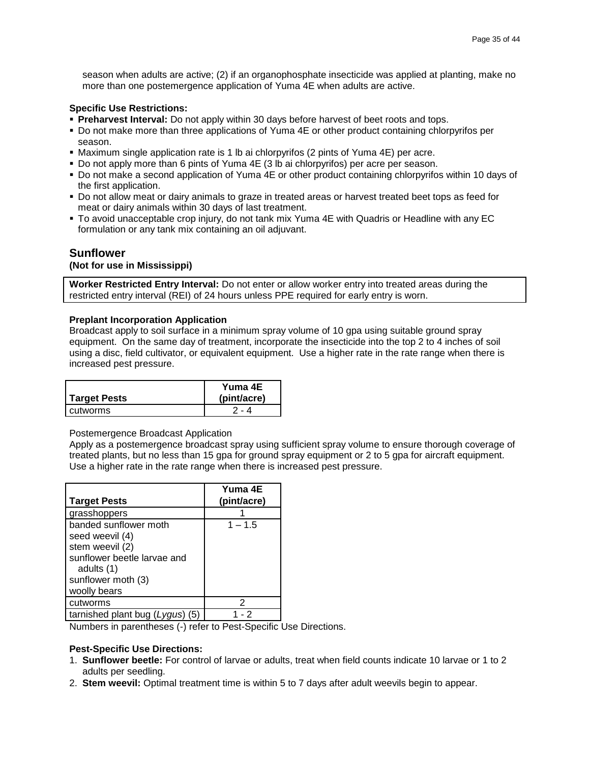season when adults are active; (2) if an organophosphate insecticide was applied at planting, make no more than one postemergence application of Yuma 4E when adults are active.

### **Specific Use Restrictions:**

- **Preharvest Interval:** Do not apply within 30 days before harvest of beet roots and tops.
- Do not make more than three applications of Yuma 4E or other product containing chlorpyrifos per season.
- Maximum single application rate is 1 lb ai chlorpyrifos (2 pints of Yuma 4E) per acre.
- Do not apply more than 6 pints of Yuma 4E (3 lb ai chlorpyrifos) per acre per season.
- Do not make a second application of Yuma 4E or other product containing chlorpyrifos within 10 days of the first application.
- Do not allow meat or dairy animals to graze in treated areas or harvest treated beet tops as feed for meat or dairy animals within 30 days of last treatment.
- To avoid unacceptable crop injury, do not tank mix Yuma 4E with Quadris or Headline with any EC formulation or any tank mix containing an oil adjuvant.

### **Sunflower**

### **(Not for use in Mississippi)**

**Worker Restricted Entry Interval:** Do not enter or allow worker entry into treated areas during the restricted entry interval (REI) of 24 hours unless PPE required for early entry is worn.

#### **Preplant Incorporation Application**

Broadcast apply to soil surface in a minimum spray volume of 10 gpa using suitable ground spray equipment. On the same day of treatment, incorporate the insecticide into the top 2 to 4 inches of soil using a disc, field cultivator, or equivalent equipment. Use a higher rate in the rate range when there is increased pest pressure.

|                     | Yuma 4E     |
|---------------------|-------------|
| <b>Target Pests</b> | (pint/acre) |
| cutworms            | - 4         |

#### Postemergence Broadcast Application

Apply as a postemergence broadcast spray using sufficient spray volume to ensure thorough coverage of treated plants, but no less than 15 gpa for ground spray equipment or 2 to 5 gpa for aircraft equipment. Use a higher rate in the rate range when there is increased pest pressure.

| <b>Target Pests</b>                                                                                                                            | Yuma 4E<br>(pint/acre) |
|------------------------------------------------------------------------------------------------------------------------------------------------|------------------------|
| grasshoppers                                                                                                                                   |                        |
| banded sunflower moth<br>seed weevil (4)<br>stem weevil (2)<br>sunflower beetle larvae and<br>adults (1)<br>sunflower moth (3)<br>woolly bears | $1 - 1.5$              |
| cutworms                                                                                                                                       | 2                      |
| tarnished plant bug (Lygus) (5)                                                                                                                | - 2                    |

Numbers in parentheses (-) refer to Pest-Specific Use Directions.

#### **Pest-Specific Use Directions:**

- 1. **Sunflower beetle:** For control of larvae or adults, treat when field counts indicate 10 larvae or 1 to 2 adults per seedling.
- 2. **Stem weevil:** Optimal treatment time is within 5 to 7 days after adult weevils begin to appear.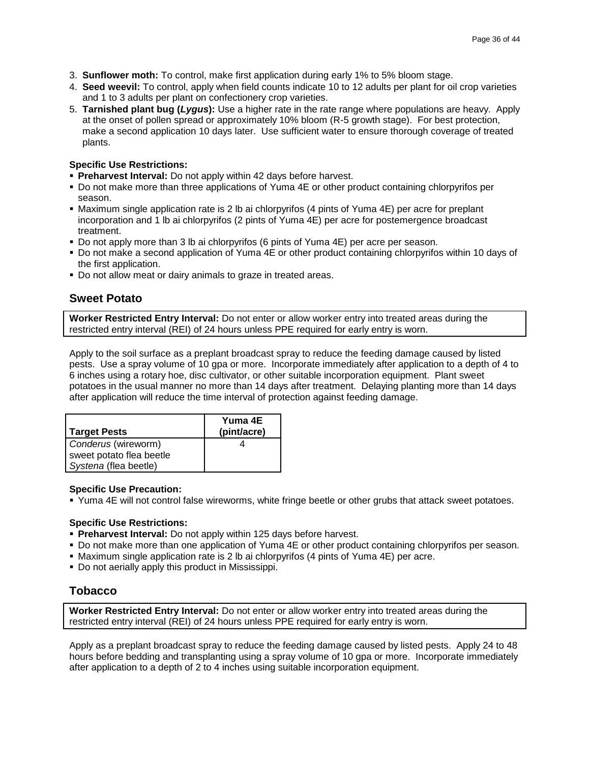- 3. **Sunflower moth:** To control, make first application during early 1% to 5% bloom stage.
- 4. **Seed weevil:** To control, apply when field counts indicate 10 to 12 adults per plant for oil crop varieties and 1 to 3 adults per plant on confectionery crop varieties.
- 5. **Tarnished plant bug (***Lygus***):** Use a higher rate in the rate range where populations are heavy. Apply at the onset of pollen spread or approximately 10% bloom (R-5 growth stage). For best protection, make a second application 10 days later. Use sufficient water to ensure thorough coverage of treated plants.

### **Specific Use Restrictions:**

- **Preharvest Interval:** Do not apply within 42 days before harvest.
- Do not make more than three applications of Yuma 4E or other product containing chlorpyrifos per season.
- Maximum single application rate is 2 lb ai chlorpyrifos (4 pints of Yuma 4E) per acre for preplant incorporation and 1 lb ai chlorpyrifos (2 pints of Yuma 4E) per acre for postemergence broadcast treatment.
- Do not apply more than 3 lb ai chlorpyrifos (6 pints of Yuma 4E) per acre per season.
- Do not make a second application of Yuma 4E or other product containing chlorpyrifos within 10 days of the first application.
- Do not allow meat or dairy animals to graze in treated areas.

### **Sweet Potato**

**Worker Restricted Entry Interval:** Do not enter or allow worker entry into treated areas during the restricted entry interval (REI) of 24 hours unless PPE required for early entry is worn.

Apply to the soil surface as a preplant broadcast spray to reduce the feeding damage caused by listed pests. Use a spray volume of 10 gpa or more. Incorporate immediately after application to a depth of 4 to 6 inches using a rotary hoe, disc cultivator, or other suitable incorporation equipment. Plant sweet potatoes in the usual manner no more than 14 days after treatment. Delaying planting more than 14 days after application will reduce the time interval of protection against feeding damage.

| <b>Target Pests</b>      | Yuma 4E<br>(pint/acre) |
|--------------------------|------------------------|
| Conderus (wireworm)      |                        |
| sweet potato flea beetle |                        |
| Systena (flea beetle)    |                        |

#### **Specific Use Precaution:**

Yuma 4E will not control false wireworms, white fringe beetle or other grubs that attack sweet potatoes.

### **Specific Use Restrictions:**

- **Preharvest Interval:** Do not apply within 125 days before harvest.
- Do not make more than one application of Yuma 4E or other product containing chlorpyrifos per season.
- Maximum single application rate is 2 lb ai chlorpyrifos (4 pints of Yuma 4E) per acre.
- **Do not aerially apply this product in Mississippi.**

### **Tobacco**

**Worker Restricted Entry Interval:** Do not enter or allow worker entry into treated areas during the restricted entry interval (REI) of 24 hours unless PPE required for early entry is worn.

Apply as a preplant broadcast spray to reduce the feeding damage caused by listed pests. Apply 24 to 48 hours before bedding and transplanting using a spray volume of 10 gpa or more. Incorporate immediately after application to a depth of 2 to 4 inches using suitable incorporation equipment.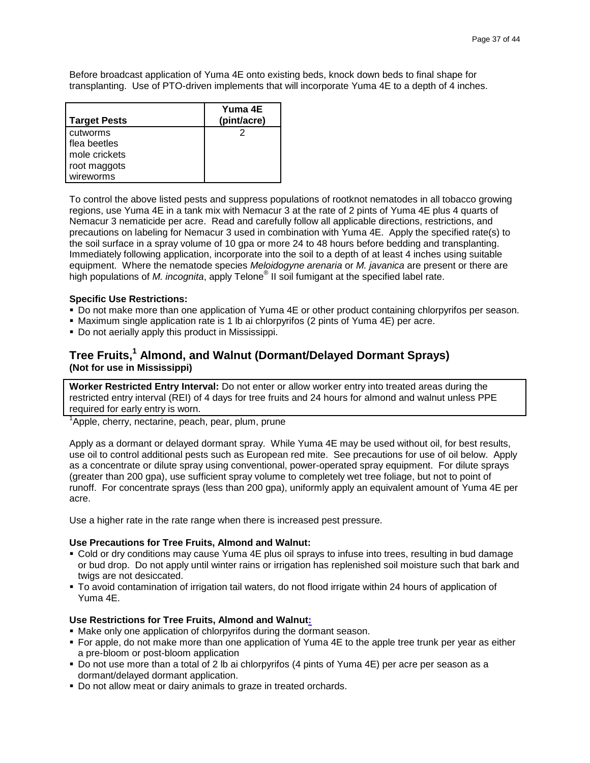Before broadcast application of Yuma 4E onto existing beds, knock down beds to final shape for transplanting. Use of PTO-driven implements that will incorporate Yuma 4E to a depth of 4 inches.

| <b>Target Pests</b> | Yuma 4E<br>(pint/acre) |
|---------------------|------------------------|
| cutworms            |                        |
| flea beetles        |                        |
| mole crickets       |                        |
| root maggots        |                        |
| wireworms           |                        |

To control the above listed pests and suppress populations of rootknot nematodes in all tobacco growing regions, use Yuma 4E in a tank mix with Nemacur 3 at the rate of 2 pints of Yuma 4E plus 4 quarts of Nemacur 3 nematicide per acre. Read and carefully follow all applicable directions, restrictions, and precautions on labeling for Nemacur 3 used in combination with Yuma 4E. Apply the specified rate(s) to the soil surface in a spray volume of 10 gpa or more 24 to 48 hours before bedding and transplanting. Immediately following application, incorporate into the soil to a depth of at least 4 inches using suitable equipment. Where the nematode species *Meloidogyne arenaria* or *M. javanica* are present or there are high populations of *M. incognita*, apply Telone® II soil fumigant at the specified label rate.

### **Specific Use Restrictions:**

- Do not make more than one application of Yuma 4E or other product containing chlorpyrifos per season.
- Maximum single application rate is 1 lb ai chlorpyrifos (2 pints of Yuma 4E) per acre.
- Do not aerially apply this product in Mississippi.

# **Tree Fruits,<sup>1</sup> Almond, and Walnut (Dormant/Delayed Dormant Sprays) (Not for use in Mississippi)**

**Worker Restricted Entry Interval:** Do not enter or allow worker entry into treated areas during the restricted entry interval (REI) of 4 days for tree fruits and 24 hours for almond and walnut unless PPE required for early entry is worn.

<sup>1</sup>Apple, cherry, nectarine, peach, pear, plum, prune

Apply as a dormant or delayed dormant spray. While Yuma 4E may be used without oil, for best results, use oil to control additional pests such as European red mite. See precautions for use of oil below. Apply as a concentrate or dilute spray using conventional, power-operated spray equipment. For dilute sprays (greater than 200 gpa), use sufficient spray volume to completely wet tree foliage, but not to point of runoff. For concentrate sprays (less than 200 gpa), uniformly apply an equivalent amount of Yuma 4E per acre.

Use a higher rate in the rate range when there is increased pest pressure.

#### **Use Precautions for Tree Fruits, Almond and Walnut:**

- Cold or dry conditions may cause Yuma 4E plus oil sprays to infuse into trees, resulting in bud damage or bud drop. Do not apply until winter rains or irrigation has replenished soil moisture such that bark and twigs are not desiccated.
- To avoid contamination of irrigation tail waters, do not flood irrigate within 24 hours of application of Yuma 4E.

#### **Use Restrictions for Tree Fruits, Almond and Walnut:**

- Make only one application of chlorpyrifos during the dormant season.
- For apple, do not make more than one application of Yuma 4E to the apple tree trunk per year as either a pre-bloom or post-bloom application
- Do not use more than a total of 2 lb ai chlorpyrifos (4 pints of Yuma 4E) per acre per season as a dormant/delayed dormant application.
- Do not allow meat or dairy animals to graze in treated orchards.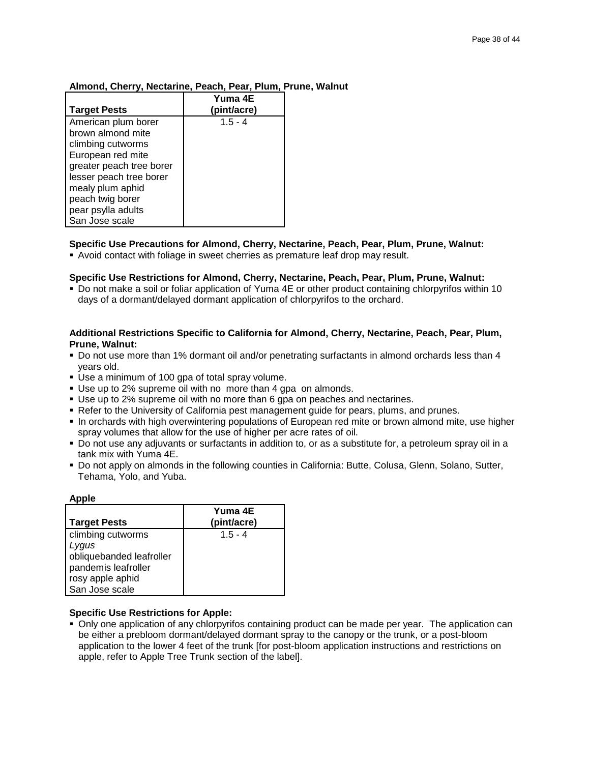### **Almond, Cherry, Nectarine, Peach, Pear, Plum, Prune, Walnut**

|                                                                                                                                                                  | Yuma 4E                  |
|------------------------------------------------------------------------------------------------------------------------------------------------------------------|--------------------------|
| <b>Target Pests</b><br>American plum borer<br>brown almond mite<br>climbing cutworms<br>European red mite<br>greater peach tree borer<br>lesser peach tree borer | (pint/acre)<br>$1.5 - 4$ |
| mealy plum aphid<br>peach twig borer<br>pear psylla adults<br>San Jose scale                                                                                     |                          |

### **Specific Use Precautions for Almond, Cherry, Nectarine, Peach, Pear, Plum, Prune, Walnut:**

Avoid contact with foliage in sweet cherries as premature leaf drop may result.

### **Specific Use Restrictions for Almond, Cherry, Nectarine, Peach, Pear, Plum, Prune, Walnut:**

 Do not make a soil or foliar application of Yuma 4E or other product containing chlorpyrifos within 10 days of a dormant/delayed dormant application of chlorpyrifos to the orchard.

### **Additional Restrictions Specific to California for Almond, Cherry, Nectarine, Peach, Pear, Plum, Prune, Walnut:**

- Do not use more than 1% dormant oil and/or penetrating surfactants in almond orchards less than 4 years old.
- Use a minimum of 100 gpa of total spray volume.
- Use up to 2% supreme oil with no more than 4 gpa on almonds.
- Use up to 2% supreme oil with no more than 6 gpa on peaches and nectarines.
- Refer to the University of California pest management guide for pears, plums, and prunes.
- In orchards with high overwintering populations of European red mite or brown almond mite, use higher spray volumes that allow for the use of higher per acre rates of oil.
- Do not use any adjuvants or surfactants in addition to, or as a substitute for, a petroleum spray oil in a tank mix with Yuma 4E.
- Do not apply on almonds in the following counties in California: Butte, Colusa, Glenn, Solano, Sutter, Tehama, Yolo, and Yuba.

| Apple                    |             |
|--------------------------|-------------|
|                          | Yuma 4E     |
| <b>Target Pests</b>      | (pint/acre) |
| climbing cutworms        | $1.5 - 4$   |
| Lygus                    |             |
| obliquebanded leafroller |             |
| pandemis leafroller      |             |
| rosy apple aphid         |             |
| San Jose scale           |             |

### **Specific Use Restrictions for Apple:**

 Only one application of any chlorpyrifos containing product can be made per year. The application can be either a prebloom dormant/delayed dormant spray to the canopy or the trunk, or a post-bloom application to the lower 4 feet of the trunk [for post-bloom application instructions and restrictions on apple, refer to Apple Tree Trunk section of the label].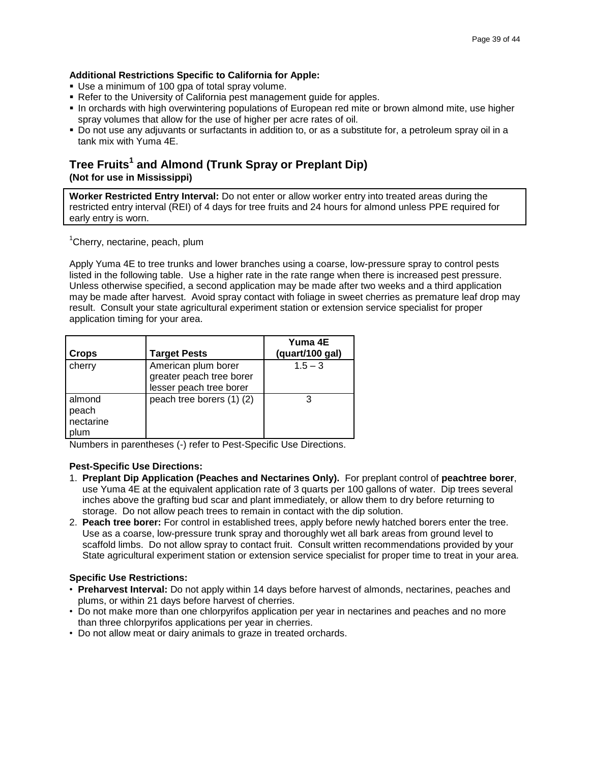### **Additional Restrictions Specific to California for Apple:**

- Use a minimum of 100 gpa of total spray volume.
- Refer to the University of California pest management quide for apples.
- In orchards with high overwintering populations of European red mite or brown almond mite, use higher spray volumes that allow for the use of higher per acre rates of oil.
- Do not use any adjuvants or surfactants in addition to, or as a substitute for, a petroleum spray oil in a tank mix with Yuma 4E.

# **Tree Fruits<sup>1</sup> and Almond (Trunk Spray or Preplant Dip) (Not for use in Mississippi)**

**Worker Restricted Entry Interval:** Do not enter or allow worker entry into treated areas during the restricted entry interval (REI) of 4 days for tree fruits and 24 hours for almond unless PPE required for early entry is worn.

<sup>1</sup>Cherry, nectarine, peach, plum

Apply Yuma 4E to tree trunks and lower branches using a coarse, low-pressure spray to control pests listed in the following table. Use a higher rate in the rate range when there is increased pest pressure. Unless otherwise specified, a second application may be made after two weeks and a third application may be made after harvest. Avoid spray contact with foliage in sweet cherries as premature leaf drop may result. Consult your state agricultural experiment station or extension service specialist for proper application timing for your area.

|                                      |                                                                            | Yuma 4E         |
|--------------------------------------|----------------------------------------------------------------------------|-----------------|
| <b>Crops</b>                         | <b>Target Pests</b>                                                        | (quart/100 gal) |
| cherry                               | American plum borer<br>greater peach tree borer<br>lesser peach tree borer | $1.5 - 3$       |
| almond<br>peach<br>nectarine<br>plum | peach tree borers (1) (2)                                                  |                 |

Numbers in parentheses (-) refer to Pest-Specific Use Directions.

### **Pest-Specific Use Directions:**

- 1. **Preplant Dip Application (Peaches and Nectarines Only).** For preplant control of **peachtree borer**, use Yuma 4E at the equivalent application rate of 3 quarts per 100 gallons of water. Dip trees several inches above the grafting bud scar and plant immediately, or allow them to dry before returning to storage. Do not allow peach trees to remain in contact with the dip solution.
- 2. **Peach tree borer:** For control in established trees, apply before newly hatched borers enter the tree. Use as a coarse, low-pressure trunk spray and thoroughly wet all bark areas from ground level to scaffold limbs. Do not allow spray to contact fruit. Consult written recommendations provided by your State agricultural experiment station or extension service specialist for proper time to treat in your area.

- **Preharvest Interval:** Do not apply within 14 days before harvest of almonds, nectarines, peaches and plums, or within 21 days before harvest of cherries.
- Do not make more than one chlorpyrifos application per year in nectarines and peaches and no more than three chlorpyrifos applications per year in cherries.
- Do not allow meat or dairy animals to graze in treated orchards.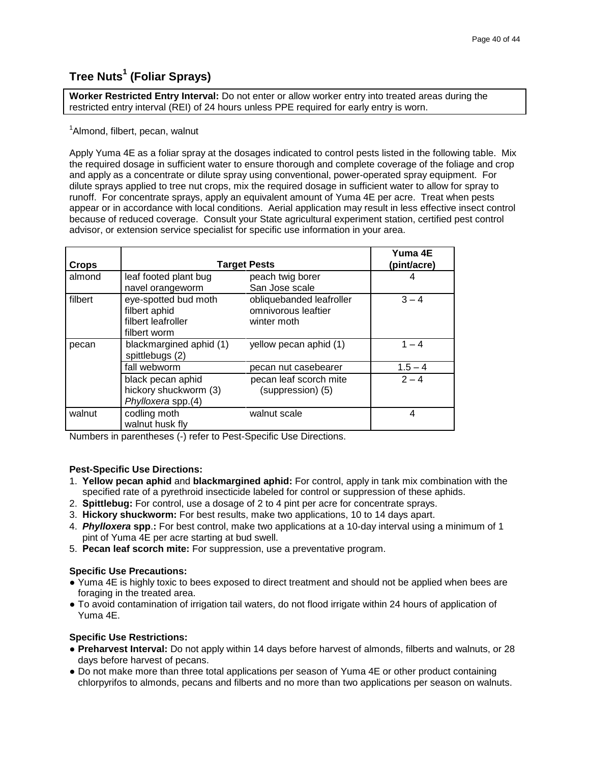# **Tree Nuts<sup>1</sup> (Foliar Sprays)**

**Worker Restricted Entry Interval:** Do not enter or allow worker entry into treated areas during the restricted entry interval (REI) of 24 hours unless PPE required for early entry is worn.

### <sup>1</sup>Almond, filbert, pecan, walnut

Apply Yuma 4E as a foliar spray at the dosages indicated to control pests listed in the following table. Mix the required dosage in sufficient water to ensure thorough and complete coverage of the foliage and crop and apply as a concentrate or dilute spray using conventional, power-operated spray equipment. For dilute sprays applied to tree nut crops, mix the required dosage in sufficient water to allow for spray to runoff. For concentrate sprays, apply an equivalent amount of Yuma 4E per acre. Treat when pests appear or in accordance with local conditions. Aerial application may result in less effective insect control because of reduced coverage. Consult your State agricultural experiment station, certified pest control advisor, or extension service specialist for specific use information in your area.

| <b>Crops</b> | <b>Target Pests</b>                                                         |                                                                | Yuma 4E<br>(pint/acre) |
|--------------|-----------------------------------------------------------------------------|----------------------------------------------------------------|------------------------|
| almond       | leaf footed plant bug<br>navel orangeworm                                   | peach twig borer<br>San Jose scale                             |                        |
| filbert      | eye-spotted bud moth<br>filbert aphid<br>filbert leafroller<br>filbert worm | obliquebanded leafroller<br>omnivorous leaftier<br>winter moth | $3 - 4$                |
| pecan        | blackmargined aphid (1)<br>spittlebugs (2)                                  | yellow pecan aphid (1)                                         | $1 - 4$                |
|              | fall webworm                                                                | pecan nut casebearer                                           | $1.5 - 4$              |
|              | black pecan aphid<br>hickory shuckworm (3)<br>Phylloxera spp.(4)            | pecan leaf scorch mite<br>(suppression) (5)                    | $2 - 4$                |
| walnut       | codling moth<br>walnut husk fly                                             | walnut scale                                                   | 4                      |

Numbers in parentheses (-) refer to Pest-Specific Use Directions.

### **Pest-Specific Use Directions:**

- 1. **Yellow pecan aphid** and **blackmargined aphid:** For control, apply in tank mix combination with the specified rate of a pyrethroid insecticide labeled for control or suppression of these aphids.
- 2. **Spittlebug:** For control, use a dosage of 2 to 4 pint per acre for concentrate sprays.
- 3. **Hickory shuckworm:** For best results, make two applications, 10 to 14 days apart.
- 4. *Phylloxera* **spp**.**:** For best control, make two applications at a 10-day interval using a minimum of 1 pint of Yuma 4E per acre starting at bud swell.
- 5. **Pecan leaf scorch mite:** For suppression, use a preventative program.

### **Specific Use Precautions:**

- Yuma 4E is highly toxic to bees exposed to direct treatment and should not be applied when bees are foraging in the treated area.
- To avoid contamination of irrigation tail waters, do not flood irrigate within 24 hours of application of Yuma 4E.

- **● Preharvest Interval:** Do not apply within 14 days before harvest of almonds, filberts and walnuts, or 28 days before harvest of pecans.
- **●** Do not make more than three total applications per season of Yuma 4E or other product containing chlorpyrifos to almonds, pecans and filberts and no more than two applications per season on walnuts.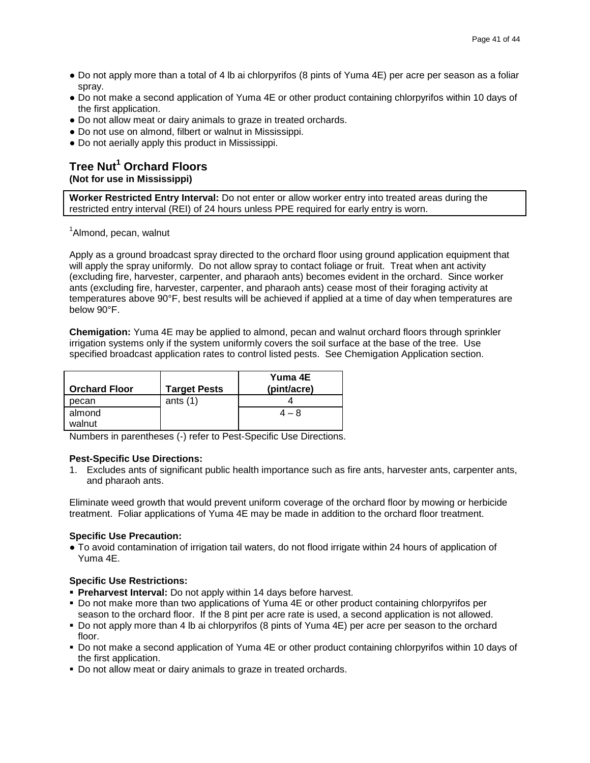- **●** Do not apply more than a total of 4 lb ai chlorpyrifos (8 pints of Yuma 4E) per acre per season as a foliar spray.
- **●** Do not make a second application of Yuma 4E or other product containing chlorpyrifos within 10 days of the first application.
- **●** Do not allow meat or dairy animals to graze in treated orchards.
- **●** Do not use on almond, filbert or walnut in Mississippi.
- **●** Do not aerially apply this product in Mississippi.

# **Tree Nut<sup>1</sup> Orchard Floors (Not for use in Mississippi)**

**Worker Restricted Entry Interval:** Do not enter or allow worker entry into treated areas during the restricted entry interval (REI) of 24 hours unless PPE required for early entry is worn.

<sup>1</sup>Almond, pecan, walnut

Apply as a ground broadcast spray directed to the orchard floor using ground application equipment that will apply the spray uniformly. Do not allow spray to contact foliage or fruit. Treat when ant activity (excluding fire, harvester, carpenter, and pharaoh ants) becomes evident in the orchard. Since worker ants (excluding fire, harvester, carpenter, and pharaoh ants) cease most of their foraging activity at temperatures above 90°F, best results will be achieved if applied at a time of day when temperatures are below 90°F.

**Chemigation:** Yuma 4E may be applied to almond, pecan and walnut orchard floors through sprinkler irrigation systems only if the system uniformly covers the soil surface at the base of the tree. Use specified broadcast application rates to control listed pests. See Chemigation Application section.

| <b>Orchard Floor</b> | <b>Target Pests</b> | Yuma 4E<br>(pint/acre) |
|----------------------|---------------------|------------------------|
| pecan                | ants $(1)$          |                        |
| almond<br>walnut     |                     | 4 – 8                  |

Numbers in parentheses (-) refer to Pest-Specific Use Directions.

### **Pest-Specific Use Directions:**

1. Excludes ants of significant public health importance such as fire ants, harvester ants, carpenter ants, and pharaoh ants.

Eliminate weed growth that would prevent uniform coverage of the orchard floor by mowing or herbicide treatment. Foliar applications of Yuma 4E may be made in addition to the orchard floor treatment.

### **Specific Use Precaution:**

**●** To avoid contamination of irrigation tail waters, do not flood irrigate within 24 hours of application of Yuma 4E.

- **Preharvest Interval:** Do not apply within 14 days before harvest.
- Do not make more than two applications of Yuma 4E or other product containing chlorpyrifos per season to the orchard floor. If the 8 pint per acre rate is used, a second application is not allowed.
- Do not apply more than 4 lb ai chlorpyrifos (8 pints of Yuma 4E) per acre per season to the orchard floor.
- Do not make a second application of Yuma 4E or other product containing chlorpyrifos within 10 days of the first application.
- Do not allow meat or dairy animals to graze in treated orchards.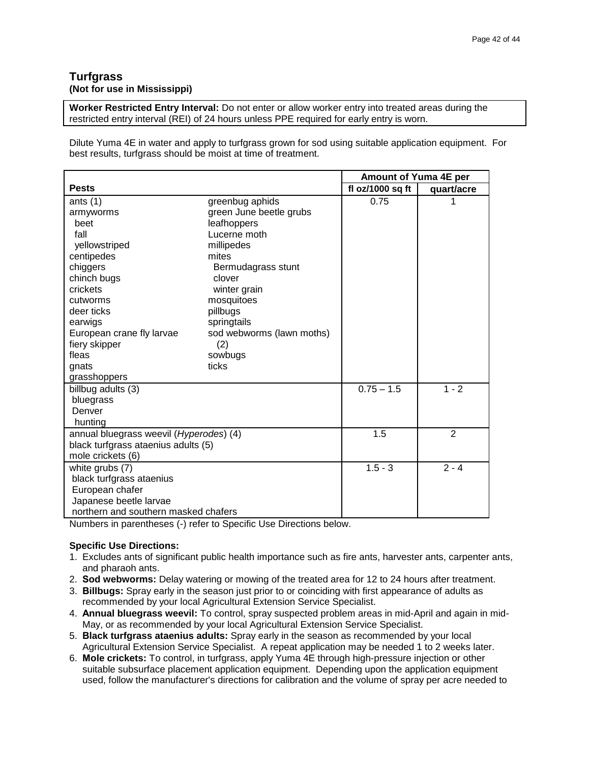### **Turfgrass (Not for use in Mississippi)**

**Worker Restricted Entry Interval:** Do not enter or allow worker entry into treated areas during the restricted entry interval (REI) of 24 hours unless PPE required for early entry is worn.

Dilute Yuma 4E in water and apply to turfgrass grown for sod using suitable application equipment. For best results, turfgrass should be moist at time of treatment.

|                                         |                           | Amount of Yuma 4E per |                |
|-----------------------------------------|---------------------------|-----------------------|----------------|
| <b>Pests</b>                            |                           | fl oz/1000 sq ft      | quart/acre     |
| ants $(1)$                              | greenbug aphids           | 0.75                  | 1              |
| armyworms                               | green June beetle grubs   |                       |                |
| beet                                    | leafhoppers               |                       |                |
| fall                                    | Lucerne moth              |                       |                |
| yellowstriped                           | millipedes                |                       |                |
| centipedes                              | mites                     |                       |                |
| chiggers                                | Bermudagrass stunt        |                       |                |
| chinch bugs                             | clover                    |                       |                |
| crickets                                | winter grain              |                       |                |
| cutworms                                | mosquitoes                |                       |                |
| deer ticks                              | pillbugs                  |                       |                |
| earwigs                                 | springtails               |                       |                |
| European crane fly larvae               | sod webworms (lawn moths) |                       |                |
| fiery skipper                           | (2)                       |                       |                |
| fleas                                   | sowbugs                   |                       |                |
| gnats                                   | ticks                     |                       |                |
| grasshoppers                            |                           |                       |                |
| billbug adults (3)                      |                           | $0.75 - 1.5$          | $1 - 2$        |
| bluegrass                               |                           |                       |                |
| Denver                                  |                           |                       |                |
| hunting                                 |                           |                       |                |
| annual bluegrass weevil (Hyperodes) (4) |                           | 1.5                   | $\overline{2}$ |
| black turfgrass ataenius adults (5)     |                           |                       |                |
| mole crickets (6)                       |                           |                       |                |
| white grubs (7)                         |                           | $1.5 - 3$             | $2 - 4$        |
| black turfgrass ataenius                |                           |                       |                |
| European chafer                         |                           |                       |                |
| Japanese beetle larvae                  |                           |                       |                |
| northern and southern masked chafers    |                           |                       |                |

Numbers in parentheses (-) refer to Specific Use Directions below.

### **Specific Use Directions:**

- 1. Excludes ants of significant public health importance such as fire ants, harvester ants, carpenter ants, and pharaoh ants.
- 2. **Sod webworms:** Delay watering or mowing of the treated area for 12 to 24 hours after treatment.
- 3. **Billbugs:** Spray early in the season just prior to or coinciding with first appearance of adults as recommended by your local Agricultural Extension Service Specialist.
- 4. **Annual bluegrass weevil:** To control, spray suspected problem areas in mid-April and again in mid-May, or as recommended by your local Agricultural Extension Service Specialist.
- 5. **Black turfgrass ataenius adults:** Spray early in the season as recommended by your local Agricultural Extension Service Specialist. A repeat application may be needed 1 to 2 weeks later.
- 6. **Mole crickets:** To control, in turfgrass, apply Yuma 4E through high-pressure injection or other suitable subsurface placement application equipment. Depending upon the application equipment used, follow the manufacturer's directions for calibration and the volume of spray per acre needed to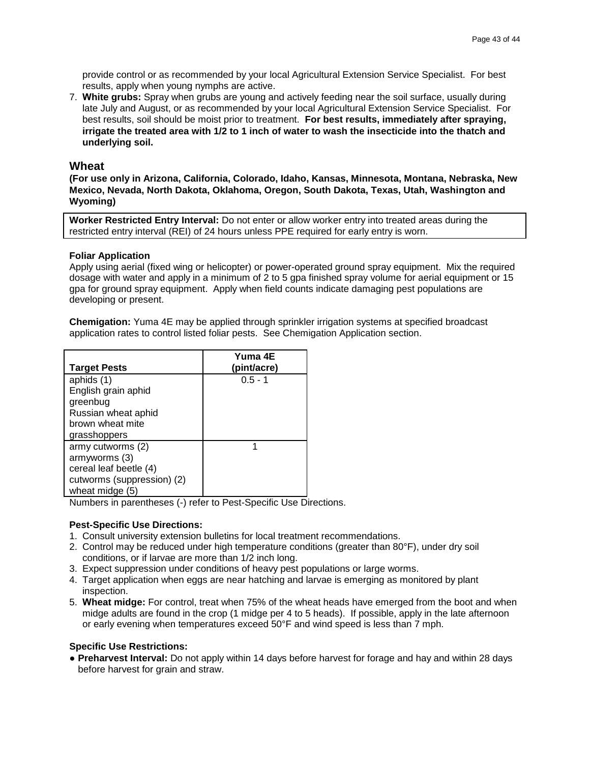provide control or as recommended by your local Agricultural Extension Service Specialist. For best results, apply when young nymphs are active.

7. **White grubs:** Spray when grubs are young and actively feeding near the soil surface, usually during late July and August, or as recommended by your local Agricultural Extension Service Specialist. For best results, soil should be moist prior to treatment. **For best results, immediately after spraying, irrigate the treated area with 1/2 to 1 inch of water to wash the insecticide into the thatch and underlying soil.**

### **Wheat**

**(For use only in Arizona, California, Colorado, Idaho, Kansas, Minnesota, Montana, Nebraska, New Mexico, Nevada, North Dakota, Oklahoma, Oregon, South Dakota, Texas, Utah, Washington and Wyoming)**

**Worker Restricted Entry Interval:** Do not enter or allow worker entry into treated areas during the restricted entry interval (REI) of 24 hours unless PPE required for early entry is worn.

### **Foliar Application**

Apply using aerial (fixed wing or helicopter) or power-operated ground spray equipment. Mix the required dosage with water and apply in a minimum of 2 to 5 gpa finished spray volume for aerial equipment or 15 gpa for ground spray equipment. Apply when field counts indicate damaging pest populations are developing or present.

**Chemigation:** Yuma 4E may be applied through sprinkler irrigation systems at specified broadcast application rates to control listed foliar pests. See Chemigation Application section.

| <b>Target Pests</b>        | Yuma 4E<br>(pint/acre) |
|----------------------------|------------------------|
| aphids (1)                 | $0.5 - 1$              |
| English grain aphid        |                        |
| greenbug                   |                        |
| Russian wheat aphid        |                        |
| brown wheat mite           |                        |
| grasshoppers               |                        |
| army cutworms (2)          |                        |
| armyworms (3)              |                        |
| cereal leaf beetle (4)     |                        |
| cutworms (suppression) (2) |                        |
| wheat midge (5)            |                        |

Numbers in parentheses (-) refer to Pest-Specific Use Directions.

### **Pest-Specific Use Directions:**

- 1. Consult university extension bulletins for local treatment recommendations.
- 2. Control may be reduced under high temperature conditions (greater than 80°F), under dry soil conditions, or if larvae are more than 1/2 inch long.
- 3. Expect suppression under conditions of heavy pest populations or large worms.
- 4. Target application when eggs are near hatching and larvae is emerging as monitored by plant inspection.
- 5. **Wheat midge:** For control, treat when 75% of the wheat heads have emerged from the boot and when midge adults are found in the crop (1 midge per 4 to 5 heads). If possible, apply in the late afternoon or early evening when temperatures exceed 50°F and wind speed is less than 7 mph.

#### **Specific Use Restrictions:**

**● Preharvest Interval:** Do not apply within 14 days before harvest for forage and hay and within 28 days before harvest for grain and straw.